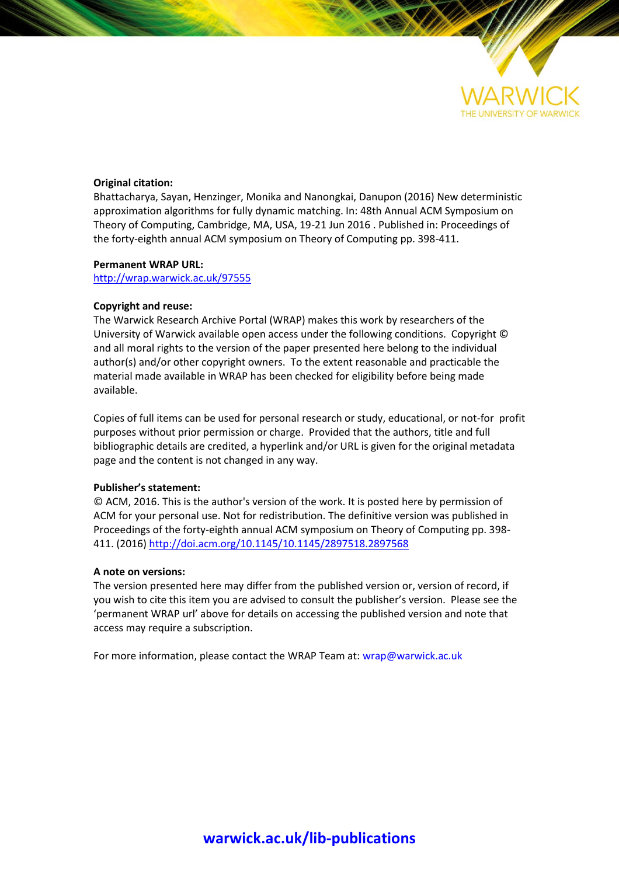

## **Original citation:**

Bhattacharya, Sayan, Henzinger, Monika and Nanongkai, Danupon (2016) New deterministic approximation algorithms for fully dynamic matching. In: 48th Annual ACM Symposium on Theory of Computing, Cambridge, MA, USA, 19-21 Jun 2016 . Published in: Proceedings of the forty-eighth annual ACM symposium on Theory of Computing pp. 398-411.

## **Permanent WRAP URL:**

<http://wrap.warwick.ac.uk/97555>

## **Copyright and reuse:**

The Warwick Research Archive Portal (WRAP) makes this work by researchers of the University of Warwick available open access under the following conditions. Copyright © and all moral rights to the version of the paper presented here belong to the individual author(s) and/or other copyright owners. To the extent reasonable and practicable the material made available in WRAP has been checked for eligibility before being made available.

Copies of full items can be used for personal research or study, educational, or not-for profit purposes without prior permission or charge. Provided that the authors, title and full bibliographic details are credited, a hyperlink and/or URL is given for the original metadata page and the content is not changed in any way.

## **Publisher's statement:**

© ACM, 2016. This is the author's version of the work. It is posted here by permission of ACM for your personal use. Not for redistribution. The definitive version was published in Proceedings of the forty-eighth annual ACM symposium on Theory of Computing pp. 398- 411. (2016) <http://doi.acm.org/10.1145/10.1145/2897518.2897568>

## **A note on versions:**

The version presented here may differ from the published version or, version of record, if you wish to cite this item you are advised to consult the publisher's version. Please see the 'permanent WRAP url' above for details on accessing the published version and note that access may require a subscription.

For more information, please contact the WRAP Team at[: wrap@warwick.ac.uk](mailto:wrap@warwick.ac.uk)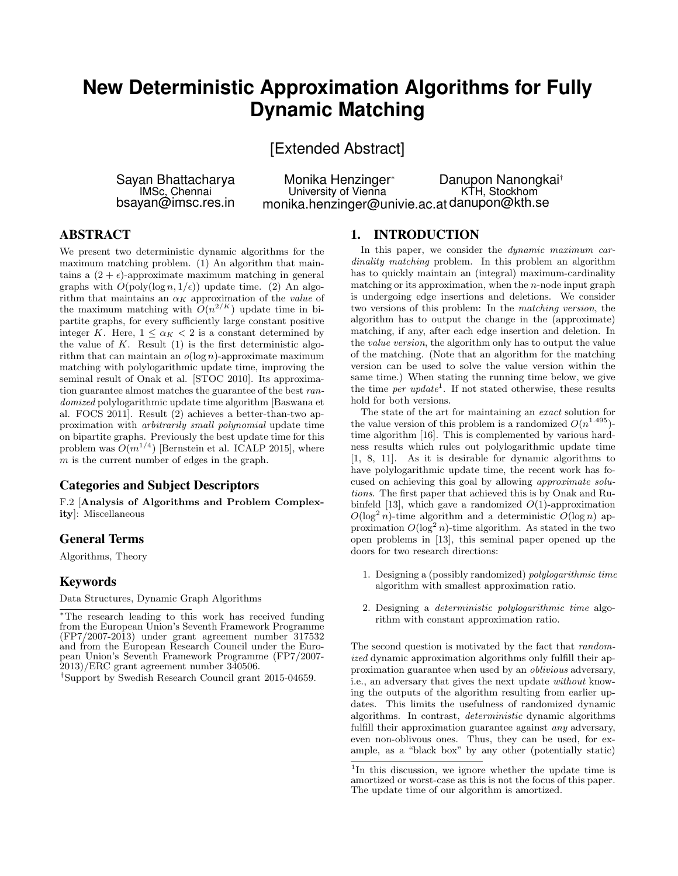# **New Deterministic Approximation Algorithms for Fully Dynamic Matching**

[Extended Abstract]

Sayan Bhattacharya IMSc, Chennai bsayan@imsc.res.in

Monika Henzinger<sup>∗</sup> University of Vienna monika.henzinger@univie.ac.at danupon@kth.se Danupon Nanongkai† KTH, Stockhom

## ABSTRACT

We present two deterministic dynamic algorithms for the maximum matching problem. (1) An algorithm that maintains a  $(2 + \epsilon)$ -approximate maximum matching in general graphs with  $O(poly(log n, 1/\epsilon))$  update time. (2) An algorithm that maintains an  $\alpha_K$  approximation of the value of the maximum matching with  $O(n^{2/K})$  update time in bipartite graphs, for every sufficiently large constant positive integer K. Here,  $1 \leq \alpha_K < 2$  is a constant determined by the value of  $K$ . Result  $(1)$  is the first deterministic algorithm that can maintain an  $o(\log n)$ -approximate maximum matching with polylogarithmic update time, improving the seminal result of Onak et al. [STOC 2010]. Its approximation guarantee almost matches the guarantee of the best randomized polylogarithmic update time algorithm [Baswana et al. FOCS 2011]. Result (2) achieves a better-than-two approximation with arbitrarily small polynomial update time on bipartite graphs. Previously the best update time for this problem was  $O(m^{1/4})$  [Bernstein et al. ICALP 2015], where m is the current number of edges in the graph.

## Categories and Subject Descriptors

F.2 [Analysis of Algorithms and Problem Complexity]: Miscellaneous

## General Terms

Algorithms, Theory

## Keywords

Data Structures, Dynamic Graph Algorithms

†Support by Swedish Research Council grant 2015-04659.

## 1. INTRODUCTION

In this paper, we consider the *dynamic maximum car*dinality matching problem. In this problem an algorithm has to quickly maintain an (integral) maximum-cardinality matching or its approximation, when the  $n$ -node input graph is undergoing edge insertions and deletions. We consider two versions of this problem: In the matching version, the algorithm has to output the change in the (approximate) matching, if any, after each edge insertion and deletion. In the value version, the algorithm only has to output the value of the matching. (Note that an algorithm for the matching version can be used to solve the value version within the same time.) When stating the running time below, we give the time *per update*<sup>1</sup>. If not stated otherwise, these results hold for both versions.

The state of the art for maintaining an exact solution for the value version of this problem is a randomized  $O(n^{1.495})$ time algorithm [16]. This is complemented by various hardness results which rules out polylogarithmic update time [1, 8, 11]. As it is desirable for dynamic algorithms to have polylogarithmic update time, the recent work has focused on achieving this goal by allowing approximate solutions. The first paper that achieved this is by Onak and Rubinfeld [13], which gave a randomized  $O(1)$ -approximation  $O(\log^2 n)$ -time algorithm and a deterministic  $O(\log n)$  approximation  $O(\log^2 n)$ -time algorithm. As stated in the two open problems in [13], this seminal paper opened up the doors for two research directions:

- 1. Designing a (possibly randomized) polylogarithmic time algorithm with smallest approximation ratio.
- 2. Designing a deterministic polylogarithmic time algorithm with constant approximation ratio.

The second question is motivated by the fact that randomized dynamic approximation algorithms only fulfill their approximation guarantee when used by an oblivious adversary, i.e., an adversary that gives the next update without knowing the outputs of the algorithm resulting from earlier updates. This limits the usefulness of randomized dynamic algorithms. In contrast, deterministic dynamic algorithms fulfill their approximation guarantee against *any* adversary, even non-oblivous ones. Thus, they can be used, for example, as a "black box" by any other (potentially static)

<sup>∗</sup>The research leading to this work has received funding from the European Union's Seventh Framework Programme (FP7/2007-2013) under grant agreement number 317532 and from the European Research Council under the European Union's Seventh Framework Programme (FP7/2007- 2013)/ERC grant agreement number 340506.

<sup>&</sup>lt;sup>1</sup>In this discussion, we ignore whether the update time is amortized or worst-case as this is not the focus of this paper. The update time of our algorithm is amortized.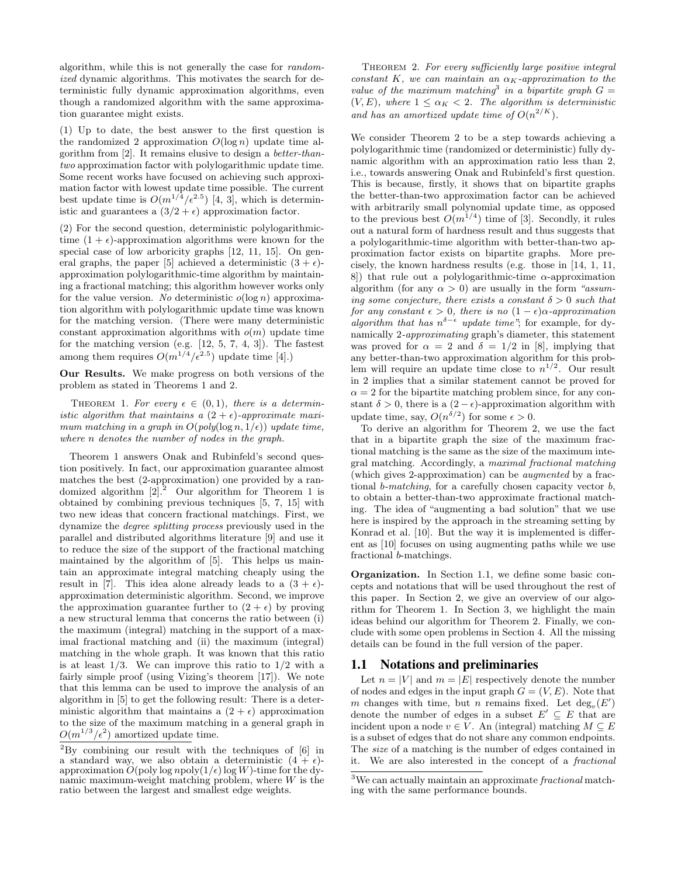algorithm, while this is not generally the case for randomized dynamic algorithms. This motivates the search for deterministic fully dynamic approximation algorithms, even though a randomized algorithm with the same approximation guarantee might exists.

(1) Up to date, the best answer to the first question is the randomized 2 approximation  $O(\log n)$  update time algorithm from [2]. It remains elusive to design a better-thantwo approximation factor with polylogarithmic update time. Some recent works have focused on achieving such approximation factor with lowest update time possible. The current best update time is  $O(m^{1/4}/\epsilon^{2.5})$  [4, 3], which is deterministic and guarantees a  $(3/2 + \epsilon)$  approximation factor.

(2) For the second question, deterministic polylogarithmictime  $(1 + \epsilon)$ -approximation algorithms were known for the special case of low arboricity graphs  $[12, 11, 15]$ . On general graphs, the paper [5] achieved a deterministic  $(3 + \epsilon)$ approximation polylogarithmic-time algorithm by maintaining a fractional matching; this algorithm however works only for the value version. No deterministic  $o(\log n)$  approximation algorithm with polylogarithmic update time was known for the matching version. (There were many deterministic constant approximation algorithms with  $o(m)$  update time for the matching version (e.g. [12, 5, 7, 4, 3]). The fastest among them requires  $O(m^{1/4}/\epsilon^{2.5})$  update time [4].)

Our Results. We make progress on both versions of the problem as stated in Theorems 1 and 2.

THEOREM 1. For every  $\epsilon \in (0,1)$ , there is a deterministic algorithm that maintains a  $(2 + \epsilon)$ -approximate maximum matching in a graph in  $O(\text{poly}(\log n, 1/\epsilon))$  update time, where n denotes the number of nodes in the graph.

Theorem 1 answers Onak and Rubinfeld's second question positively. In fact, our approximation guarantee almost matches the best (2-approximation) one provided by a randomized algorithm  $[2].^2$  Our algorithm for Theorem 1 is obtained by combining previous techniques [5, 7, 15] with two new ideas that concern fractional matchings. First, we dynamize the degree splitting process previously used in the parallel and distributed algorithms literature [9] and use it to reduce the size of the support of the fractional matching maintained by the algorithm of [5]. This helps us maintain an approximate integral matching cheaply using the result in [7]. This idea alone already leads to a  $(3 + \epsilon)$ approximation deterministic algorithm. Second, we improve the approximation guarantee further to  $(2 + \epsilon)$  by proving a new structural lemma that concerns the ratio between (i) the maximum (integral) matching in the support of a maximal fractional matching and (ii) the maximum (integral) matching in the whole graph. It was known that this ratio is at least  $1/3$ . We can improve this ratio to  $1/2$  with a fairly simple proof (using Vizing's theorem [17]). We note that this lemma can be used to improve the analysis of an algorithm in [5] to get the following result: There is a deterministic algorithm that maintains a  $(2 + \epsilon)$  approximation to the size of the maximum matching in a general graph in  $O(m^{1/3}/\epsilon^2)$  amortized update time.

THEOREM 2. For every sufficiently large positive integral constant K, we can maintain an  $\alpha_K$ -approximation to the value of the maximum matching<sup>3</sup> in a bipartite graph  $G =$  $(V, E)$ , where  $1 \leq \alpha_K < 2$ . The algorithm is deterministic and has an amortized update time of  $O(n^{2/K})$ .

We consider Theorem 2 to be a step towards achieving a polylogarithmic time (randomized or deterministic) fully dynamic algorithm with an approximation ratio less than 2, i.e., towards answering Onak and Rubinfeld's first question. This is because, firstly, it shows that on bipartite graphs the better-than-two approximation factor can be achieved with arbitrarily small polynomial update time, as opposed to the previous best  $O(m^{1/4})$  time of [3]. Secondly, it rules out a natural form of hardness result and thus suggests that a polylogarithmic-time algorithm with better-than-two approximation factor exists on bipartite graphs. More precisely, the known hardness results (e.g. those in [14, 1, 11, 8) that rule out a polylogarithmic-time  $\alpha$ -approximation algorithm (for any  $\alpha > 0$ ) are usually in the form "assuming some conjecture, there exists a constant  $\delta > 0$  such that for any constant  $\epsilon > 0$ , there is no  $(1 - \epsilon)\alpha$ -approximation algorithm that has  $n^{\delta-\epsilon}$  update time"; for example, for dynamically 2-approximating graph's diameter, this statement was proved for  $\alpha = 2$  and  $\delta = 1/2$  in [8], implying that any better-than-two approximation algorithm for this problem will require an update time close to  $n^{1/2}$ . Our result in 2 implies that a similar statement cannot be proved for  $\alpha = 2$  for the bipartite matching problem since, for any constant  $\delta > 0$ , there is a  $(2 - \epsilon)$ -approximation algorithm with update time, say,  $O(n^{\delta/2})$  for some  $\epsilon > 0$ .

To derive an algorithm for Theorem 2, we use the fact that in a bipartite graph the size of the maximum fractional matching is the same as the size of the maximum integral matching. Accordingly, a maximal fractional matching (which gives 2-approximation) can be augmented by a fractional b-matching, for a carefully chosen capacity vector b, to obtain a better-than-two approximate fractional matching. The idea of "augmenting a bad solution" that we use here is inspired by the approach in the streaming setting by Konrad et al. [10]. But the way it is implemented is different as [10] focuses on using augmenting paths while we use fractional b-matchings.

Organization. In Section 1.1, we define some basic concepts and notations that will be used throughout the rest of this paper. In Section 2, we give an overview of our algorithm for Theorem 1. In Section 3, we highlight the main ideas behind our algorithm for Theorem 2. Finally, we conclude with some open problems in Section 4. All the missing details can be found in the full version of the paper.

### 1.1 Notations and preliminaries

Let  $n = |V|$  and  $m = |E|$  respectively denote the number of nodes and edges in the input graph  $G = (V, E)$ . Note that m changes with time, but n remains fixed. Let  $deg_v(E')$ denote the number of edges in a subset  $E' \subseteq E$  that are incident upon a node  $v \in V$ . An (integral) matching  $M \subseteq E$ is a subset of edges that do not share any common endpoints. The size of a matching is the number of edges contained in it. We are also interested in the concept of a fractional

<sup>2</sup>By combining our result with the techniques of [6] in a standard way, we also obtain a deterministic  $(4 + \epsilon)$ approximation  $O(poly \log n poly(1/\epsilon) \log W)$ -time for the dynamic maximum-weight matching problem, where  $W$  is the ratio between the largest and smallest edge weights.

<sup>3</sup>We can actually maintain an approximate fractional matching with the same performance bounds.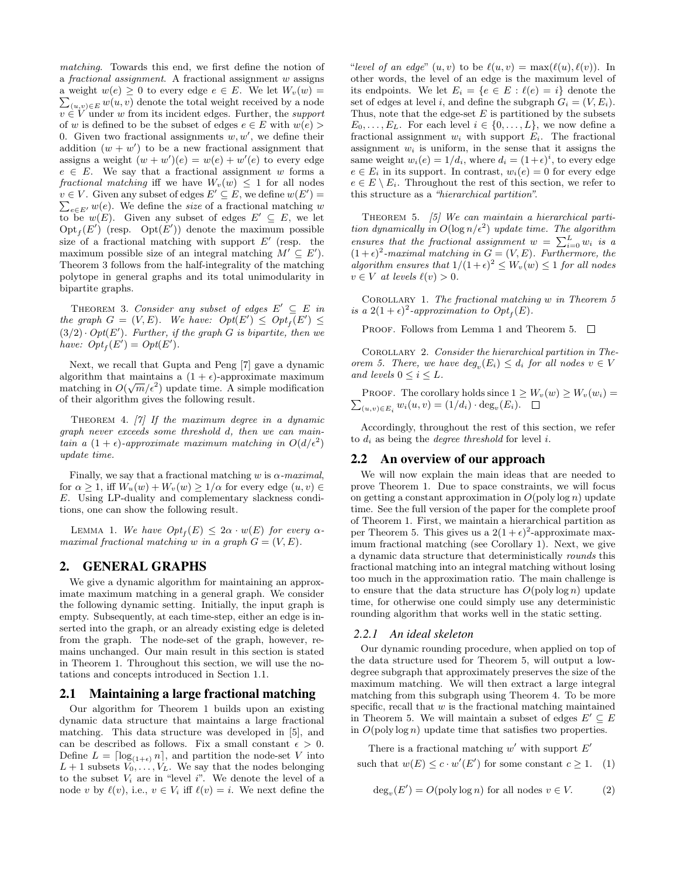matching. Towards this end, we first define the notion of a fractional assignment. A fractional assignment w assigns a weight  $w(e) \geq 0$  to every edge  $e \in E$ . We let  $W_v(w) =$ a weight  $w(e) \ge 0$  to every edge  $e \in E$ . We let  $W_v(w) = \sum_{(u,v) \in E} w(u,v)$  denote the total weight received by a node  $v \in V$  under w from its incident edges. Further, the support of w is defined to be the subset of edges  $e \in E$  with  $w(e)$ 0. Given two fractional assignments  $w, w'$ , we define their addition  $(w + w')$  to be a new fractional assignment that assigns a weight  $(w + w')(e) = w(e) + w'(e)$  to every edge  $e \in E$ . We say that a fractional assignment w forms a fractional matching iff we have  $W_v(w) \leq 1$  for all nodes  $v \in V$ . Given any subset of edges  $E' \subseteq E$ , we define  $w(E') =$  $\sum_{e \in E'} w(e)$ . We define the size of a fractional matching w to be  $w(E)$ . Given any subset of edges  $E' \subseteq E$ , we let  $\mathrm{Opt}_f(E')$  (resp.  $\mathrm{Opt}(E')$ ) denote the maximum possible size of a fractional matching with support  $E'$  (resp. the maximum possible size of an integral matching  $M' \subseteq E'$ . Theorem 3 follows from the half-integrality of the matching polytope in general graphs and its total unimodularity in bipartite graphs.

THEOREM 3. Consider any subset of edges  $E' \subseteq E$  in the graph  $G = (V, E)$ . We have:  $Opt(E') \leq Opt_E(E') \leq$  $(3/2) \cdot Opt(E')$ . Further, if the graph G is bipartite, then we have:  $Opt_f(E') = Opt(E').$ 

Next, we recall that Gupta and Peng [7] gave a dynamic algorithm that maintains a  $(1 + \epsilon)$ -approximate maximum matching in  $O(\sqrt{m}/\epsilon^2)$  update time. A simple modification of their algorithm gives the following result.

THEOREM 4.  $[7]$  If the maximum degree in a dynamic graph never exceeds some threshold d, then we can maintain a  $(1 + \epsilon)$ -approximate maximum matching in  $O(d/\epsilon^2)$ update time.

Finally, we say that a fractional matching w is  $\alpha$ -maximal, for  $\alpha \geq 1$ , iff  $W_u(w) + W_v(w) \geq 1/\alpha$  for every edge  $(u, v) \in$ E. Using LP-duality and complementary slackness conditions, one can show the following result.

LEMMA 1. We have  $Opt_f(E) \leq 2\alpha \cdot w(E)$  for every  $\alpha$ maximal fractional matching w in a graph  $G = (V, E)$ .

## 2. GENERAL GRAPHS

We give a dynamic algorithm for maintaining an approximate maximum matching in a general graph. We consider the following dynamic setting. Initially, the input graph is empty. Subsequently, at each time-step, either an edge is inserted into the graph, or an already existing edge is deleted from the graph. The node-set of the graph, however, remains unchanged. Our main result in this section is stated in Theorem 1. Throughout this section, we will use the notations and concepts introduced in Section 1.1.

#### 2.1 Maintaining a large fractional matching

Our algorithm for Theorem 1 builds upon an existing dynamic data structure that maintains a large fractional matching. This data structure was developed in [5], and can be described as follows. Fix a small constant  $\epsilon > 0$ . Define  $L = \lceil \log_{(1+\epsilon)} n \rceil$ , and partition the node-set V into  $L+1$  subsets  $V_0, \ldots, V_L$ . We say that the nodes belonging to the subset  $V_i$  are in "level i". We denote the level of a node v by  $\ell(v)$ , i.e.,  $v \in V_i$  iff  $\ell(v) = i$ . We next define the "level of an edge"  $(u, v)$  to be  $\ell(u, v) = \max(\ell(u), \ell(v))$ . In other words, the level of an edge is the maximum level of its endpoints. We let  $E_i = \{e \in E : \ell(e) = i\}$  denote the set of edges at level i, and define the subgraph  $G_i = (V, E_i)$ . Thus, note that the edge-set  $E$  is partitioned by the subsets  $E_0, \ldots, E_L$ . For each level  $i \in \{0, \ldots, L\}$ , we now define a fractional assignment  $w_i$  with support  $E_i$ . The fractional assignment  $w_i$  is uniform, in the sense that it assigns the same weight  $w_i(e) = 1/d_i$ , where  $d_i = (1 + \epsilon)^i$ , to every edge  $e \in E_i$  in its support. In contrast,  $w_i(e) = 0$  for every edge  $e \in E \setminus E_i$ . Throughout the rest of this section, we refer to this structure as a "hierarchical partition".

THEOREM 5.  $[5]$  We can maintain a hierarchical partition dynamically in  $O(\log n/\epsilon^2)$  update time. The algorithm ensures that the fractional assignment  $w = \sum_{i=0}^{L} w_i$  is a  $(1+\epsilon)^2$ -maximal matching in  $G = (V, E)$ . Furthermore, the algorithm ensures that  $1/(1+\epsilon)^2 \leq W_v(w) \leq 1$  for all nodes  $v \in V$  at levels  $\ell(v) > 0$ .

COROLLARY 1. The fractional matching  $w$  in Theorem 5 is a 2 $(1+\epsilon)^2$ -approximation to  $Opt_f(E)$ .

PROOF. Follows from Lemma 1 and Theorem 5.  $\Box$ 

Corollary 2. Consider the hierarchical partition in Theorem 5. There, we have  $deg_v(E_i) \leq d_i$  for all nodes  $v \in V$ and levels  $0 \leq i \leq L$ .

 $\sum_{(u,v)\in E_i} w_i(u,v) = (1/d_i) \cdot \deg_v(E_i).$ PROOF. The corollary holds since  $1 \geq W_v(w) \geq W_v(w_i) =$ 

Accordingly, throughout the rest of this section, we refer to  $d_i$  as being the *degree threshold* for level i.

#### 2.2 An overview of our approach

We will now explain the main ideas that are needed to prove Theorem 1. Due to space constraints, we will focus on getting a constant approximation in  $O(poly log n)$  update time. See the full version of the paper for the complete proof of Theorem 1. First, we maintain a hierarchical partition as per Theorem 5. This gives us a  $2(1+\epsilon)^2$ -approximate maximum fractional matching (see Corollary 1). Next, we give a dynamic data structure that deterministically rounds this fractional matching into an integral matching without losing too much in the approximation ratio. The main challenge is to ensure that the data structure has  $O(poly log n)$  update time, for otherwise one could simply use any deterministic rounding algorithm that works well in the static setting.

### *2.2.1 An ideal skeleton*

Our dynamic rounding procedure, when applied on top of the data structure used for Theorem 5, will output a lowdegree subgraph that approximately preserves the size of the maximum matching. We will then extract a large integral matching from this subgraph using Theorem 4. To be more specific, recall that  $w$  is the fractional matching maintained in Theorem 5. We will maintain a subset of edges  $E' \subseteq E$ in  $O(\text{poly}\log n)$  update time that satisfies two properties.

There is a fractional matching  $w'$  with support  $E'$ such that  $w(E) \leq c \cdot w'(E')$  for some constant  $c \geq 1$ . (1)

$$
\deg_v(E') = O(\text{poly}\log n) \text{ for all nodes } v \in V. \tag{2}
$$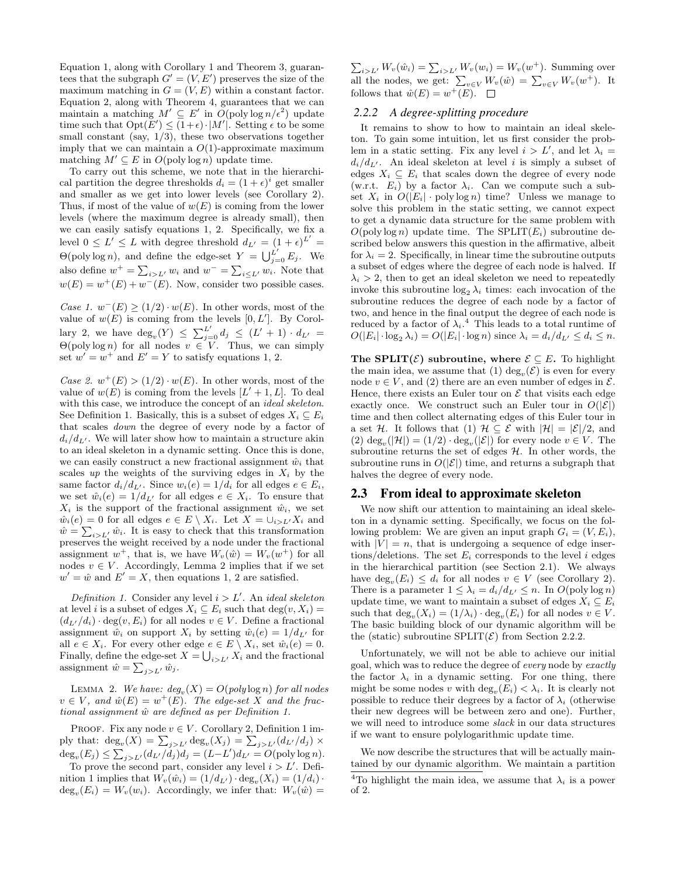Equation 1, along with Corollary 1 and Theorem 3, guarantees that the subgraph  $G' = (V, E')$  preserves the size of the maximum matching in  $G = (V, E)$  within a constant factor. Equation 2, along with Theorem 4, guarantees that we can maintain a matching  $M' \subseteq E'$  in  $O(\text{poly}\log n/\epsilon^2)$  update time such that  $Opt(E') \leq (1+\epsilon) \cdot |M'|$ . Setting  $\epsilon$  to be some small constant (say,  $1/3$ ), these two observations together imply that we can maintain a  $O(1)$ -approximate maximum matching  $M' \subseteq E$  in  $O(\text{poly} \log n)$  update time.

To carry out this scheme, we note that in the hierarchical partition the degree thresholds  $d_i = (1 + \epsilon)^i$  get smaller and smaller as we get into lower levels (see Corollary 2). Thus, if most of the value of  $w(E)$  is coming from the lower levels (where the maximum degree is already small), then we can easily satisfy equations 1, 2. Specifically, we fix a level  $0 \leq L' \leq L$  with degree threshold  $d_{L'} = (1 + \epsilon)^{L'} =$  $\Theta(\text{poly}\log n)$ , and define the edge-set  $Y = \bigcup_{j=0}^{L'} E_j$ . We also define  $w^+ = \sum_{i>L'} w_i$  and  $w^- = \sum_{i \leq L'} w_i$ . Note that  $w(E) = w^+(E) + w^-(E)$ . Now, consider two possible cases.

Case 1.  $w^{-}(E) \geq (1/2) \cdot w(E)$ . In other words, most of the value of  $w(E)$  is coming from the levels  $[0, L']$ . By Corollary 2, we have  $deg_v(Y) \leq \sum_{j=0}^{L'} d_j \leq (L'+1) \cdot d_{L'} =$  $\Theta(\text{poly}\log n)$  for all nodes  $v \in V$ . Thus, we can simply set  $w' = w^+$  and  $E' = Y$  to satisfy equations 1, 2.

Case 2.  $w^+(E) > (1/2) \cdot w(E)$ . In other words, most of the value of  $w(E)$  is coming from the levels  $[L'+1, L]$ . To deal with this case, we introduce the concept of an *ideal skeleton*. See Definition 1. Basically, this is a subset of edges  $X_i \subseteq E_i$ that scales down the degree of every node by a factor of  $d_i/d_{L'}$ . We will later show how to maintain a structure akin to an ideal skeleton in a dynamic setting. Once this is done, we can easily construct a new fractional assignment  $\hat{w}_i$  that scales up the weights of the surviving edges in  $X_i$  by the same factor  $d_i/d_{L'}$ . Since  $w_i(e) = 1/d_i$  for all edges  $e \in E_i$ , we set  $\hat{w}_i(e) = 1/d_{L'}$  for all edges  $e \in X_i$ . To ensure that  $X_i$  is the support of the fractional assignment  $\hat{w}_i$ , we set  $\hat{w}_i(e) = 0$  for all edges  $e \in E \setminus X_i$ . Let  $X = \bigcup_{i > L'} X_i$  and  $\hat{w} = \sum_{i>L'} \hat{w}_i$ . It is easy to check that this transformation preserves the weight received by a node under the fractional assignment  $w^+$ , that is, we have  $W_v(\hat{w}) = W_v(w^+)$  for all nodes  $v \in V$ . Accordingly, Lemma 2 implies that if we set  $w' = \hat{w}$  and  $E' = X$ , then equations 1, 2 are satisfied.

Definition 1. Consider any level  $i > L'$ . An ideal skeleton at level *i* is a subset of edges  $X_i \subseteq E_i$  such that  $\deg(v, X_i) =$  $(d_{L'}/d_i) \cdot \deg(v, E_i)$  for all nodes  $v \in V$ . Define a fractional assignment  $\hat{w}_i$  on support  $X_i$  by setting  $\hat{w}_i(e) = 1/d_{L'}$  for all  $e \in X_i$ . For every other edge  $e \in E \setminus X_i$ , set  $\hat{w}_i(e) = 0$ . Finally, define the edge-set  $X = \bigcup_{i \geq L'} X_i$  and the fractional assignment  $\hat{w} = \sum_{j>L'} \hat{w}_j$ .

LEMMA 2. We have:  $deg_v(X) = O(poly log n)$  for all nodes  $v \in V$ , and  $\hat{w}(E) = w^+(E)$ . The edge-set X and the fractional assignment  $\hat{w}$  are defined as per Definition 1.

PROOF. Fix any node  $v \in V$ . Corollary 2, Definition 1 imply that:  $\deg_v(X) = \sum_{j>L'} \deg_v(X_j) = \sum_{j>L'} (d_{L'}/d_j) \times$  $deg_v(E_j) \leq \sum_{j>L'} (d_{L'}/d_j) d_j = (L - L') d_{L'} = O(\text{poly} \log n).$ 

To prove the second part, consider any level  $i > L'$ . Definition 1 implies that  $W_v(\hat{w}_i) = (1/d_{L'}) \cdot \deg_v(X_i) = (1/d_i) \cdot$  $\deg_v(E_i) = W_v(w_i)$ . Accordingly, we infer that:  $W_v(\hat{w}) =$   $\sum_{i>L'} W_v(\hat{w}_i) = \sum_{i>L'} W_v(w_i) = W_v(w^+)$ . Summing over all the nodes, we get:  $\sum_{v \in V} W_v(\hat{w}) = \sum_{v \in V} W_v(w^+)$ . It follows that  $\hat{w}(E) = w^+(E)$ .

#### *2.2.2 A degree-splitting procedure*

It remains to show to how to maintain an ideal skeleton. To gain some intuition, let us first consider the problem in a static setting. Fix any level  $i > L'$ , and let  $\lambda_i =$  $d_i/d_{L'}$ . An ideal skeleton at level i is simply a subset of edges  $X_i \subseteq E_i$  that scales down the degree of every node (w.r.t.  $E_i$ ) by a factor  $\lambda_i$ . Can we compute such a subset  $X_i$  in  $O(|E_i| \cdot \text{poly}\log n)$  time? Unless we manage to solve this problem in the static setting, we cannot expect to get a dynamic data structure for the same problem with  $O(poly log n)$  update time. The SPLIT $(E_i)$  subroutine described below answers this question in the affirmative, albeit for  $\lambda_i = 2$ . Specifically, in linear time the subroutine outputs a subset of edges where the degree of each node is halved. If  $\lambda_i > 2$ , then to get an ideal skeleton we need to repeatedly invoke this subroutine  $\log_2 \lambda_i$  times: each invocation of the subroutine reduces the degree of each node by a factor of two, and hence in the final output the degree of each node is reduced by a factor of  $\lambda_i$ .<sup>4</sup> This leads to a total runtime of  $O(|E_i| \cdot \log_2 \lambda_i) = O(|E_i| \cdot \log n)$  since  $\lambda_i = d_i/d_{L'} \leq d_i \leq n$ .

The SPLIT( $\mathcal{E}$ ) subroutine, where  $\mathcal{E} \subseteq E$ . To highlight the main idea, we assume that (1)  $deg_v(\mathcal{E})$  is even for every node  $v \in V$ , and (2) there are an even number of edges in  $\mathcal{E}$ . Hence, there exists an Euler tour on  $\mathcal E$  that visits each edge exactly once. We construct such an Euler tour in  $O(|\mathcal{E}|)$ time and then collect alternating edges of this Euler tour in a set H. It follows that (1)  $H \subseteq \mathcal{E}$  with  $|H| = |\mathcal{E}|/2$ , and (2)  $\deg_v(|\mathcal{H}|) = (1/2) \cdot \deg_v(|\mathcal{E}|)$  for every node  $v \in V$ . The subroutine returns the set of edges  $H$ . In other words, the subroutine runs in  $O(|\mathcal{E}|)$  time, and returns a subgraph that halves the degree of every node.

#### 2.3 From ideal to approximate skeleton

We now shift our attention to maintaining an ideal skeleton in a dynamic setting. Specifically, we focus on the following problem: We are given an input graph  $G_i = (V, E_i)$ , with  $|V| = n$ , that is undergoing a sequence of edge insertions/deletions. The set  $E_i$  corresponds to the level i edges in the hierarchical partition (see Section 2.1). We always have  $\deg_v(E_i) \leq d_i$  for all nodes  $v \in V$  (see Corollary 2). There is a parameter  $1 \leq \lambda_i = d_i/d_{L'} \leq n$ . In  $O(\text{poly}\log n)$ update time, we want to maintain a subset of edges  $X_i \subseteq E_i$ such that  $\deg_v(X_i) = (1/\lambda_i) \cdot \deg_v(E_i)$  for all nodes  $v \in V$ . The basic building block of our dynamic algorithm will be the (static) subroutine SPLIT $(\mathcal{E})$  from Section 2.2.2.

Unfortunately, we will not be able to achieve our initial goal, which was to reduce the degree of every node by exactly the factor  $\lambda_i$  in a dynamic setting. For one thing, there might be some nodes v with  $\deg_v(E_i) < \lambda_i$ . It is clearly not possible to reduce their degrees by a factor of  $\lambda_i$  (otherwise their new degrees will be between zero and one). Further, we will need to introduce some slack in our data structures if we want to ensure polylogarithmic update time.

We now describe the structures that will be actually maintained by our dynamic algorithm. We maintain a partition

<sup>&</sup>lt;sup>4</sup>To highlight the main idea, we assume that  $\lambda_i$  is a power of 2.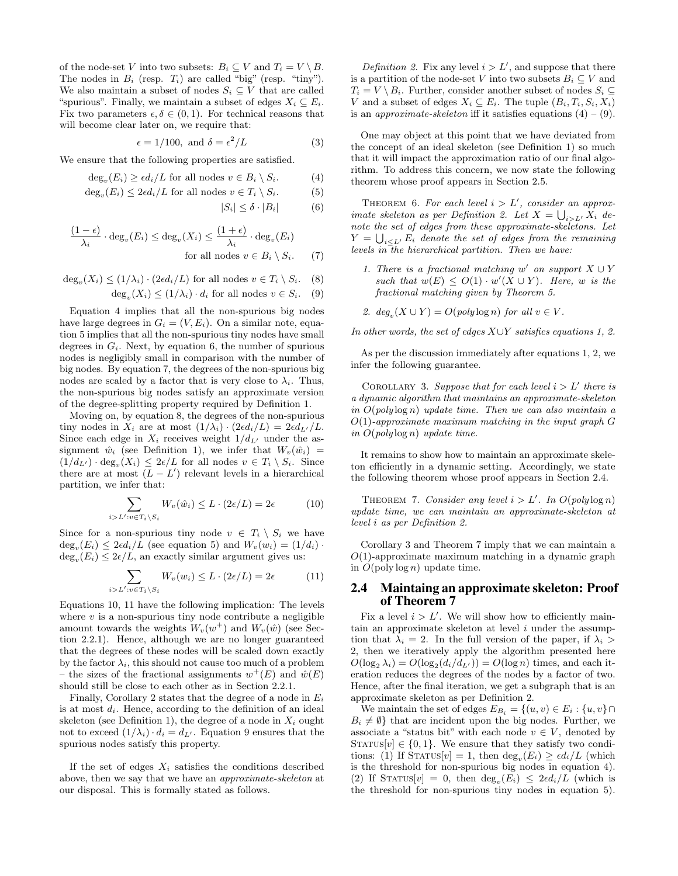of the node-set V into two subsets:  $B_i \subseteq V$  and  $T_i = V \setminus B$ . The nodes in  $B_i$  (resp.  $T_i$ ) are called "big" (resp. "tiny"). We also maintain a subset of nodes  $S_i \subseteq V$  that are called "spurious". Finally, we maintain a subset of edges  $X_i \subseteq E_i$ . Fix two parameters  $\epsilon, \delta \in (0, 1)$ . For technical reasons that will become clear later on, we require that:

$$
\epsilon = 1/100, \text{ and } \delta = \epsilon^2 / L \tag{3}
$$

We ensure that the following properties are satisfied.

$$
\deg_v(E_i) \ge \epsilon d_i / L \text{ for all nodes } v \in B_i \setminus S_i. \tag{4}
$$

- $\deg_v(E_i) \leq 2\epsilon d_i/L$  for all nodes  $v \in T_i \setminus S_i.$  (5)
	- $|S_i| \leq \delta \cdot |B_i|$  (6)

$$
\frac{(1-\epsilon)}{\lambda_i} \cdot \deg_v(E_i) \le \deg_v(X_i) \le \frac{(1+\epsilon)}{\lambda_i} \cdot \deg_v(E_i)
$$
  
for all nodes  $v \in B_i \setminus S_i$ . (7)

$$
\deg_v(X_i) \le (1/\lambda_i) \cdot (2\epsilon d_i/L) \text{ for all nodes } v \in T_i \setminus S_i. \quad (8)
$$

 $deg_v(X_i) \leq (1/\lambda_i) \cdot d_i$  for all nodes  $v \in S_i$ . (9)

Equation 4 implies that all the non-spurious big nodes have large degrees in  $G_i = (V, E_i)$ . On a similar note, equation 5 implies that all the non-spurious tiny nodes have small degrees in  $G_i$ . Next, by equation 6, the number of spurious nodes is negligibly small in comparison with the number of big nodes. By equation 7, the degrees of the non-spurious big nodes are scaled by a factor that is very close to  $\lambda_i$ . Thus, the non-spurious big nodes satisfy an approximate version of the degree-splitting property required by Definition 1.

Moving on, by equation 8, the degrees of the non-spurious tiny nodes in  $X_i$  are at most  $(1/\lambda_i) \cdot (2\epsilon d_i/L) = 2\epsilon d_{L'}/L$ . Since each edge in  $X_i$  receives weight  $1/d_{L'}$  under the assignment  $\hat{w}_i$  (see Definition 1), we infer that  $W_v(\hat{w}_i)$  =  $(1/d_{L'}) \cdot \deg_v(X_i) \leq 2\epsilon/L$  for all nodes  $v \in T_i \setminus S_i$ . Since there are at most  $(L - L')$  relevant levels in a hierarchical partition, we infer that:

$$
\sum_{i>L':v\in T_i\setminus S_i} W_v(\hat{w}_i) \le L \cdot (2\epsilon/L) = 2\epsilon \tag{10}
$$

Since for a non-spurious tiny node  $v \in T_i \setminus S_i$  we have  $deg_v(E_i) \leq 2\epsilon d_i/L$  (see equation 5) and  $W_v(w_i) = (1/d_i) \cdot$  $deg_v(E_i) \leq 2\epsilon/L$ , an exactly similar argument gives us:

$$
\sum_{i>L':v\in T_i\setminus S_i} W_v(w_i) \le L \cdot (2\epsilon/L) = 2\epsilon \tag{11}
$$

Equations 10, 11 have the following implication: The levels where  $v$  is a non-spurious tiny node contribute a negligible amount towards the weights  $W_v(w^+)$  and  $W_v(\hat{w})$  (see Section 2.2.1). Hence, although we are no longer guaranteed that the degrees of these nodes will be scaled down exactly by the factor  $\lambda_i$ , this should not cause too much of a problem – the sizes of the fractional assignments  $w^+(E)$  and  $\hat{w}(E)$ should still be close to each other as in Section 2.2.1.

Finally, Corollary 2 states that the degree of a node in  $E_i$ is at most  $d_i$ . Hence, according to the definition of an ideal skeleton (see Definition 1), the degree of a node in  $X_i$  ought not to exceed  $(1/\lambda_i)\cdot d_i = d_{L'}$ . Equation 9 ensures that the spurious nodes satisfy this property.

If the set of edges  $X_i$  satisfies the conditions described above, then we say that we have an approximate-skeleton at our disposal. This is formally stated as follows.

Definition 2. Fix any level  $i > L'$ , and suppose that there is a partition of the node-set V into two subsets  $B_i \subseteq V$  and  $T_i = V \ B_i$ . Further, consider another subset of nodes  $S_i \subseteq$ V and a subset of edges  $X_i \subseteq E_i$ . The tuple  $(B_i, T_i, S_i, X_i)$ is an *approximate-skeleton* iff it satisfies equations  $(4) - (9)$ .

One may object at this point that we have deviated from the concept of an ideal skeleton (see Definition 1) so much that it will impact the approximation ratio of our final algorithm. To address this concern, we now state the following theorem whose proof appears in Section 2.5.

THEOREM 6. For each level  $i > L'$ , consider an approximate skeleton as per Definition 2. Let  $X = \bigcup_{i>L} X_i$  denote the set of edges from these approximate-skeletons. Let  $Y = \bigcup_{i \leq L'} E_i$  denote the set of edges from the remaining levels in the hierarchical partition. Then we have:

- 1. There is a fractional matching w' on support  $X \cup Y$ such that  $w(E) \leq O(1) \cdot w'(X \cup Y)$ . Here, w is the fractional matching given by Theorem 5.
- 2.  $deg_v(X \cup Y) = O(poly \log n)$  for all  $v \in V$ .

In other words, the set of edges  $X\cup Y$  satisfies equations 1, 2.

As per the discussion immediately after equations 1, 2, we infer the following guarantee.

COROLLARY 3. Suppose that for each level  $i > L'$  there is a dynamic algorithm that maintains an approximate-skeleton in  $O(poly \log n)$  update time. Then we can also maintain a  $O(1)$ -approximate maximum matching in the input graph  $G$ in  $O(poly \log n)$  update time.

It remains to show how to maintain an approximate skeleton efficiently in a dynamic setting. Accordingly, we state the following theorem whose proof appears in Section 2.4.

THEOREM 7. Consider any level  $i > L'$ . In  $O(poly \log n)$ update time, we can maintain an approximate-skeleton at level i as per Definition 2.

Corollary 3 and Theorem 7 imply that we can maintain a  $O(1)$ -approximate maximum matching in a dynamic graph in  $O(poly log n)$  update time.

## 2.4 Maintaing an approximate skeleton: Proof of Theorem 7

Fix a level  $i > L'$ . We will show how to efficiently maintain an approximate skeleton at level  $i$  under the assumption that  $\lambda_i = 2$ . In the full version of the paper, if  $\lambda_i >$ 2, then we iteratively apply the algorithm presented here  $O(\log_2 \lambda_i) = O(\log_2(d_i/d_{L'})) = O(\log n)$  times, and each iteration reduces the degrees of the nodes by a factor of two. Hence, after the final iteration, we get a subgraph that is an approximate skeleton as per Definition 2.

We maintain the set of edges  $E_{B_i} = \{(u, v) \in E_i : \{u, v\} \cap$  $B_i \neq \emptyset$  that are incident upon the big nodes. Further, we associate a "status bit" with each node  $v \in V$ , denoted by STATUS $[v] \in \{0, 1\}$ . We ensure that they satisfy two conditions: (1) If  $\text{STATus}[v] = 1$ , then  $\text{deg}_v(E_i) \ge \epsilon d_i/L$  (which is the threshold for non-spurious big nodes in equation 4). (2) If STATUS[v] = 0, then  $\deg_v(E_i) \leq 2\epsilon d_i/L$  (which is the threshold for non-spurious tiny nodes in equation 5).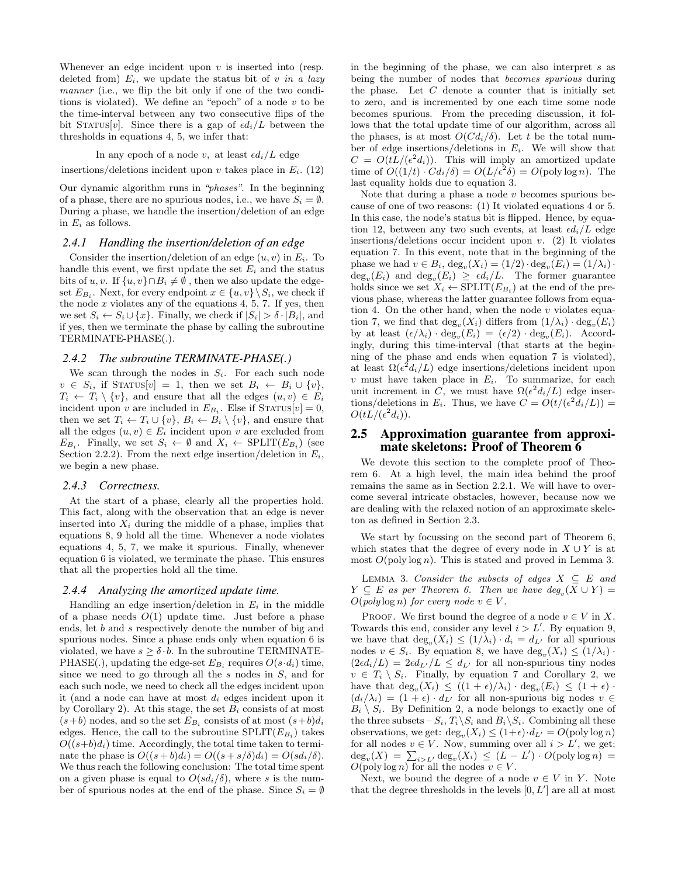Whenever an edge incident upon  $v$  is inserted into (resp. deleted from)  $E_i$ , we update the status bit of v in a lazy manner (i.e., we flip the bit only if one of the two conditions is violated). We define an "epoch" of a node  $v$  to be the time-interval between any two consecutive flips of the bit STATUS[v]. Since there is a gap of  $\epsilon d_i/L$  between the thresholds in equations 4, 5, we infer that:

#### In any epoch of a node v, at least  $\epsilon d_i/L$  edge

insertions/deletions incident upon v takes place in  $E_i$ . (12)

Our dynamic algorithm runs in "phases". In the beginning of a phase, there are no spurious nodes, i.e., we have  $S_i = \emptyset$ . During a phase, we handle the insertion/deletion of an edge in  $E_i$  as follows.

#### *2.4.1 Handling the insertion/deletion of an edge*

Consider the insertion/deletion of an edge  $(u, v)$  in  $E_i$ . To handle this event, we first update the set  $E_i$  and the status bits of u, v. If  $\{u, v\} \cap B_i \neq \emptyset$ , then we also update the edgeset  $E_{B_i}$ . Next, for every endpoint  $x \in \{u, v\} \setminus S_i$ , we check if the node  $x$  violates any of the equations 4, 5, 7. If yes, then we set  $S_i \leftarrow S_i \cup \{x\}$ . Finally, we check if  $|S_i| > \delta \cdot |B_i|$ , and if yes, then we terminate the phase by calling the subroutine TERMINATE-PHASE(.).

#### *2.4.2 The subroutine TERMINATE-PHASE(.)*

We scan through the nodes in  $S_i$ . For each such node  $v \in S_i$ , if STATUS[v] = 1, then we set  $B_i \leftarrow B_i \cup \{v\},$  $T_i \leftarrow T_i \setminus \{v\}$ , and ensure that all the edges  $(u, v) \in E_i$ incident upon v are included in  $E_{B_i}$ . Else if  $S_{TATUS}[v] = 0$ , then we set  $T_i \leftarrow T_i \cup \{v\}, B_i \leftarrow B_i \setminus \{v\}$ , and ensure that all the edges  $(u, v) \in E_i$  incident upon v are excluded from  $E_{B_i}$ . Finally, we set  $S_i \leftarrow \emptyset$  and  $X_i \leftarrow \text{SPLIT}(E_{B_i})$  (see Section 2.2.2). From the next edge insertion/deletion in  $E_i$ , we begin a new phase.

#### *2.4.3 Correctness.*

At the start of a phase, clearly all the properties hold. This fact, along with the observation that an edge is never inserted into  $X_i$  during the middle of a phase, implies that equations 8, 9 hold all the time. Whenever a node violates equations 4, 5, 7, we make it spurious. Finally, whenever equation 6 is violated, we terminate the phase. This ensures that all the properties hold all the time.

#### *2.4.4 Analyzing the amortized update time.*

Handling an edge insertion/deletion in  $E_i$  in the middle of a phase needs  $O(1)$  update time. Just before a phase ends, let b and s respectively denote the number of big and spurious nodes. Since a phase ends only when equation 6 is violated, we have  $s \geq \delta \cdot b$ . In the subroutine TERMINATE-PHASE(.), updating the edge-set  $E_{B_i}$  requires  $O(s \cdot d_i)$  time, since we need to go through all the  $s$  nodes in  $S$ , and for each such node, we need to check all the edges incident upon it (and a node can have at most  $d_i$  edges incident upon it by Corollary 2). At this stage, the set  $B_i$  consists of at most  $(s+b)$  nodes, and so the set  $E_{B_i}$  consists of at most  $(s+b)d_i$ edges. Hence, the call to the subroutine  $\text{SPLIT}(E_{B_i})$  takes  $O((s+b)d_i)$  time. Accordingly, the total time taken to terminate the phase is  $O((s+b)d_i) = O((s+s/\delta)d_i) = O(s d_i/\delta)$ . We thus reach the following conclusion: The total time spent on a given phase is equal to  $O(s d_i/\delta)$ , where s is the number of spurious nodes at the end of the phase. Since  $S_i = \emptyset$  in the beginning of the phase, we can also interpret s as being the number of nodes that becomes spurious during the phase. Let  $C$  denote a counter that is initially set to zero, and is incremented by one each time some node becomes spurious. From the preceding discussion, it follows that the total update time of our algorithm, across all the phases, is at most  $O(Cd_i/\delta)$ . Let t be the total number of edge insertions/deletions in  $E_i$ . We will show that  $C = O(tL/(\epsilon^2 d_i))$ . This will imply an amortized update time of  $O((1/t) \cdot C d_i/\delta) = O(L/\epsilon^2 \delta) = O(\text{poly} \log n)$ . The last equality holds due to equation 3.

Note that during a phase a node  $v$  becomes spurious because of one of two reasons: (1) It violated equations 4 or 5. In this case, the node's status bit is flipped. Hence, by equation 12, between any two such events, at least  $\epsilon d_i/L$  edge insertions/deletions occur incident upon  $v$ . (2) It violates equation 7. In this event, note that in the beginning of the phase we had  $v \in B_i$ ,  $\deg_v(X_i) = (1/2) \cdot \deg_v(E_i) = (1/\lambda_i) \cdot$  $deg_v(E_i)$  and  $deg_v(E_i) \geq \epsilon d_i/L$ . The former guarantee holds since we set  $X_i \leftarrow \text{SPLIT}(E_{B_i})$  at the end of the previous phase, whereas the latter guarantee follows from equation 4. On the other hand, when the node  $v$  violates equation 7, we find that  $\deg_v(X_i)$  differs from  $(1/\lambda_i) \cdot \deg_v(E_i)$ by at least  $(\epsilon/\lambda_i) \cdot \deg_v(E_i) = (\epsilon/2) \cdot \deg_v(E_i)$ . Accordingly, during this time-interval (that starts at the beginning of the phase and ends when equation 7 is violated), at least  $\Omega(\epsilon^2 d_i/L)$  edge insertions/deletions incident upon  $v$  must have taken place in  $E_i$ . To summarize, for each unit increment in C, we must have  $\Omega(\epsilon^2 d_i/L)$  edge insertions/deletions in  $E_i$ . Thus, we have  $C = O(t/(\epsilon^2 d_i/L))$  =  $O(tL/(\epsilon^2 d_i)).$ 

#### 2.5 Approximation guarantee from approximate skeletons: Proof of Theorem 6

We devote this section to the complete proof of Theorem 6. At a high level, the main idea behind the proof remains the same as in Section 2.2.1. We will have to overcome several intricate obstacles, however, because now we are dealing with the relaxed notion of an approximate skeleton as defined in Section 2.3.

We start by focussing on the second part of Theorem 6, which states that the degree of every node in  $X \cup Y$  is at most  $O(poly log n)$ . This is stated and proved in Lemma 3.

LEMMA 3. Consider the subsets of edges  $X \subseteq E$  and  $Y \subseteq E$  as per Theorem 6. Then we have  $deg_v(X \cup Y) =$  $O(poly \log n)$  for every node  $v \in V$ .

PROOF. We first bound the degree of a node  $v \in V$  in X. Towards this end, consider any level  $i > L'$ . By equation 9, we have that  $\deg_v(X_i) \leq (1/\lambda_i) \cdot d_i = d_{L'}$  for all spurious nodes  $v \in S_i$ . By equation 8, we have  $\deg_v(X_i) \leq (1/\lambda_i)$ .  $(2\epsilon d_i/L) = 2\epsilon d_{L'}/L \leq d_{L'}$  for all non-spurious tiny nodes  $v \in T_i \setminus S_i$ . Finally, by equation 7 and Corollary 2, we have that  $\deg_v(X_i) \leq ((1+\epsilon)/\lambda_i) \cdot \deg_v(E_i) \leq (1+\epsilon) \cdot$  $(d_i/\lambda_i) = (1 + \epsilon) \cdot d_{L'}$  for all non-spurious big nodes  $v \in$  $B_i \setminus S_i$ . By Definition 2, a node belongs to exactly one of the three subsets  $-S_i, T_i \backslash S_i$  and  $B_i \backslash S_i$ . Combining all these observations, we get:  $\deg_v(X_i) \leq (1+\epsilon) \cdot d_{L'} = O(\text{poly}\log n)$ for all nodes  $v \in V$ . Now, summing over all  $i > L'$ , we get:  $deg_v(X) = \sum_{i>L'} deg_v(X_i) \leq (L - L') \cdot O(poly log n) =$  $O(poly log n)$  for all the nodes  $v \in V$ .

Next, we bound the degree of a node  $v \in V$  in Y. Note that the degree thresholds in the levels  $[0, L']$  are all at most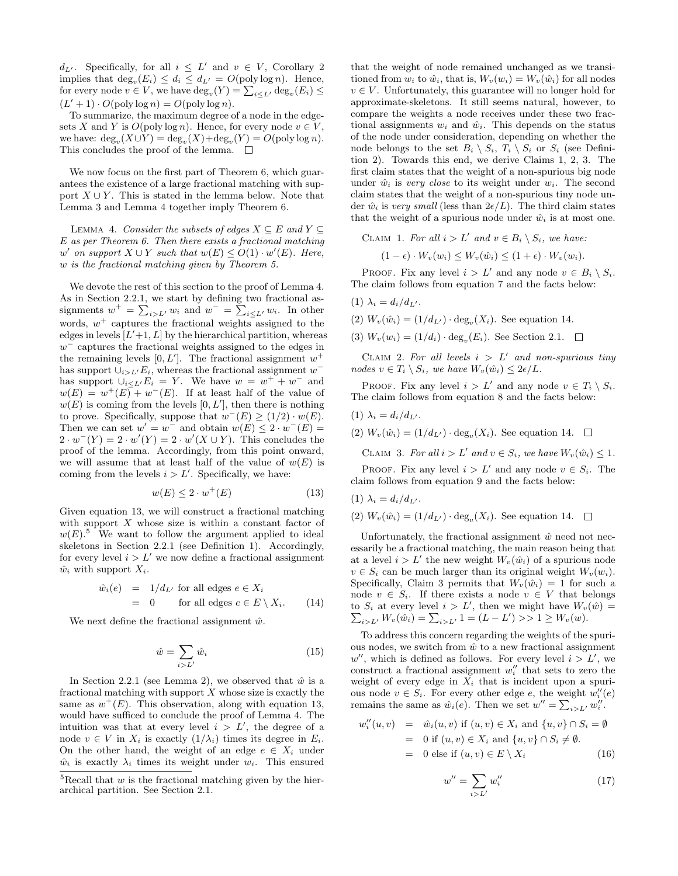$d_{L'}$ . Specifically, for all  $i \leq L'$  and  $v \in V$ , Corollary 2 implies that  $\deg_v(E_i) \leq d_i \leq d_{L'} = O(\text{poly}\log n)$ . Hence, for every node  $v \in V$ , we have  $\deg_v(Y) = \sum_{i \leq L'} \deg_v(E_i) \leq$  $(L'+1) \cdot O(poly \log n) = O(poly \log n).$ 

To summarize, the maximum degree of a node in the edgesets X and Y is  $O(poly log n)$ . Hence, for every node  $v \in V$ , we have:  $\deg_v(X \cup Y) = \deg_v(X) + \deg_v(Y) = O(\text{poly}\log n).$ This concludes the proof of the lemma.  $\Box$ 

We now focus on the first part of Theorem 6, which guarantees the existence of a large fractional matching with support  $X \cup Y$ . This is stated in the lemma below. Note that Lemma 3 and Lemma 4 together imply Theorem 6.

LEMMA 4. Consider the subsets of edges  $X \subseteq E$  and  $Y \subseteq E$ E as per Theorem 6. Then there exists a fractional matching w' on support  $X \cup Y$  such that  $w(E) \leq O(1) \cdot w'(E)$ . Here, w is the fractional matching given by Theorem 5.

We devote the rest of this section to the proof of Lemma 4. As in Section 2.2.1, we start by defining two fractional assignments  $w^+ = \sum_{i>L'} w_i$  and  $w^- = \sum_{i \leq L'} w_i$ . In other words,  $w^+$  captures the fractional weights assigned to the edges in levels  $[L'+1, L]$  by the hierarchical partition, whereas  $w^-$  captures the fractional weights assigned to the edges in the remaining levels  $[0, L']$ . The fractional assignment  $w^+$ has support  $\cup_{i>L'} E_i$ , whereas the fractional assignment  $w^$ has support  $\bigcup_{i\leq L'} E_i = Y$ . We have  $w = w^+ + w^-$  and  $w(E) = w^+(E) + w^-(E)$ . If at least half of the value of  $w(E)$  is coming from the levels  $[0, L']$ , then there is nothing to prove. Specifically, suppose that  $w^-(E) \ge (1/2) \cdot w(E)$ . Then we can set  $w' = w^-$  and obtain  $w(E) \leq 2 \cdot w^-(E) =$  $2 \cdot w^{-1}(Y) = 2 \cdot w'(Y) = 2 \cdot w'(X \cup Y)$ . This concludes the proof of the lemma. Accordingly, from this point onward, we will assume that at least half of the value of  $w(E)$  is coming from the levels  $i > L'$ . Specifically, we have:

$$
w(E) \le 2 \cdot w^+(E) \tag{13}
$$

Given equation 13, we will construct a fractional matching with support  $X$  whose size is within a constant factor of  $w(E)$ <sup>5</sup>. We want to follow the argument applied to ideal skeletons in Section 2.2.1 (see Definition 1). Accordingly, for every level  $i > L'$  we now define a fractional assignment  $\hat{w}_i$  with support  $X_i$ .

$$
\hat{w}_i(e) = 1/d_{L'} \text{ for all edges } e \in X_i
$$
  
= 0 for all edges  $e \in E \setminus X_i$ . (14)

We next define the fractional assignment  $\hat{w}$ .

$$
\hat{w} = \sum_{i>L'} \hat{w}_i \tag{15}
$$

In Section 2.2.1 (see Lemma 2), we observed that  $\hat{w}$  is a fractional matching with support  $X$  whose size is exactly the same as  $w^+(E)$ . This observation, along with equation 13, would have sufficed to conclude the proof of Lemma 4. The intuition was that at every level  $i > L'$ , the degree of a node  $v \in V$  in  $X_i$  is exactly  $(1/\lambda_i)$  times its degree in  $E_i$ . On the other hand, the weight of an edge  $e \in X_i$  under  $\hat{w}_i$  is exactly  $\lambda_i$  times its weight under  $w_i$ . This ensured

that the weight of node remained unchanged as we transitioned from  $w_i$  to  $\hat{w}_i$ , that is,  $W_v(w_i) = W_v(\hat{w}_i)$  for all nodes  $v \in V$ . Unfortunately, this guarantee will no longer hold for approximate-skeletons. It still seems natural, however, to compare the weights a node receives under these two fractional assignments  $w_i$  and  $\hat{w}_i$ . This depends on the status of the node under consideration, depending on whether the node belongs to the set  $B_i \setminus S_i$ ,  $T_i \setminus S_i$  or  $S_i$  (see Definition 2). Towards this end, we derive Claims 1, 2, 3. The first claim states that the weight of a non-spurious big node under  $\hat{w}_i$  is very close to its weight under  $w_i$ . The second claim states that the weight of a non-spurious tiny node under  $\hat{w}_i$  is very small (less than  $2\epsilon/L$ ). The third claim states that the weight of a spurious node under  $\hat{w}_i$  is at most one.

$$
\text{CLAIM 1. For all } i > L' \text{ and } v \in B_i \setminus S_i, \text{ we have:}
$$
\n
$$
(1 - \epsilon) \cdot W_v(w_i) \le W_v(\hat{w}_i) \le (1 + \epsilon) \cdot W_v(w_i).
$$

PROOF. Fix any level  $i > L'$  and any node  $v \in B_i \setminus S_i$ . The claim follows from equation 7 and the facts below:

- (1)  $\lambda_i = d_i/d_{L'}$ .
- (2)  $W_v(\hat{w}_i) = (1/d_{L'}) \cdot \text{deg}_v(X_i)$ . See equation 14.
- (3)  $W_v(w_i) = (1/d_i) \cdot \text{deg}_v(E_i)$ . See Section 2.1.

CLAIM 2. For all levels  $i > L'$  and non-spurious tiny nodes  $v \in T_i \setminus S_i$ , we have  $W_v(\hat{w}_i) \leq 2\epsilon/L$ .

PROOF. Fix any level  $i > L'$  and any node  $v \in T_i \setminus S_i$ . The claim follows from equation 8 and the facts below:

$$
(1) \lambda_i = d_i/d_{L'}.
$$

w

(2)  $W_v(\hat{w}_i) = (1/d_{L'}) \cdot \text{deg}_v(X_i)$ . See equation 14.

CLAIM 3. For all  $i > L'$  and  $v \in S_i$ , we have  $W_v(\hat{w}_i) \leq 1$ .

 $\Box$ 

PROOF. Fix any level  $i > L'$  and any node  $v \in S_i$ . The claim follows from equation 9 and the facts below:

(1)  $\lambda_i = d_i/d_{L'}$ . (2)  $W_v(\hat{w}_i) = (1/d_{L'}) \cdot \text{deg}_v(X_i)$ . See equation 14.

Unfortunately, the fractional assignment  $\hat{w}$  need not necessarily be a fractional matching, the main reason being that at a level  $i > L'$  the new weight  $W_v(\hat{w}_i)$  of a spurious node  $v \in S_i$  can be much larger than its original weight  $W_v(w_i)$ . Specifically, Claim 3 permits that  $W_v(\hat{w}_i) = 1$  for such a node  $v \in S_i$ . If there exists a node  $v \in V$  that belongs to  $S_i$  at every level  $i > L'$ , then we might have  $W_v(\hat{w}) =$  $\sum_{i>L'} W_v(\hat{w}_i) = \sum_{i>L'} 1 = (L - L') >> 1 \ge W_v(w).$ 

To address this concern regarding the weights of the spurious nodes, we switch from  $\hat{w}$  to a new fractional assignment w'', which is defined as follows. For every level  $i > L'$ , we construct a fractional assignment  $w''_i$  that sets to zero the weight of every edge in  $X_i$  that is incident upon a spurious node  $v \in S_i$ . For every other edge e, the weight  $w_i''(e)$ remains the same as  $\hat{w}_i(e)$ . Then we set  $w'' = \sum_{i>L'} w''_i$ .

$$
v_i''(u, v) = \hat{w}_i(u, v) \text{ if } (u, v) \in X_i \text{ and } \{u, v\} \cap S_i = \emptyset
$$
  
= 0 if  $(u, v) \in X_i$  and  $\{u, v\} \cap S_i \neq \emptyset$ .  
= 0 else if  $(u, v) \in E \setminus X_i$  (16)

$$
w'' = \sum_{i>L'} w''_i \tag{17}
$$

<sup>&</sup>lt;sup>5</sup>Recall that  $w$  is the fractional matching given by the hierarchical partition. See Section 2.1.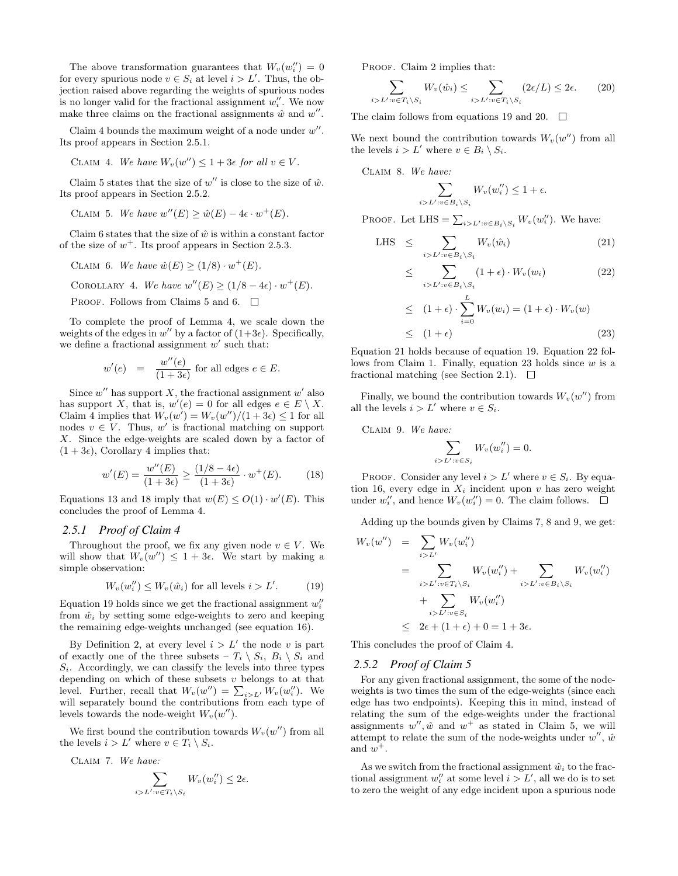The above transformation guarantees that  $W_v(w_i'') = 0$ for every spurious node  $v \in S_i$  at level  $i > L'$ . Thus, the objection raised above regarding the weights of spurious nodes is no longer valid for the fractional assignment  $w''_i$ . We now make three claims on the fractional assignments  $\hat{w}$  and  $w''$ .

Claim 4 bounds the maximum weight of a node under  $w''$ . Its proof appears in Section 2.5.1.

$$
CLAIM 4. We have W_v(w'') \le 1 + 3\epsilon \text{ for all } v \in V.
$$

Claim 5 states that the size of  $w''$  is close to the size of  $\hat{w}$ . Its proof appears in Section 2.5.2.

CLAIM 5. We have  $w''(E) \geq \hat{w}(E) - 4\epsilon \cdot w^+(E)$ .

Claim 6 states that the size of  $\hat{w}$  is within a constant factor of the size of  $w^+$ . Its proof appears in Section 2.5.3.

CLAIM 6. We have  $\hat{w}(E) \ge (1/8) \cdot w^+(E)$ .

COROLLARY 4. We have  $w''(E) \ge (1/8 - 4\epsilon) \cdot w^+(E)$ .

PROOF. Follows from Claims 5 and 6.  $\Box$ 

To complete the proof of Lemma 4, we scale down the weights of the edges in  $w''$  by a factor of  $(1+3\epsilon)$ . Specifically, we define a fractional assignment  $w'$  such that:

$$
w'(e) = \frac{w''(e)}{(1+3\epsilon)} \text{ for all edges } e \in E.
$$

Since  $w''$  has support X, the fractional assignment  $w'$  also has support X, that is,  $w'(e) = 0$  for all edges  $e \in E \setminus X$ . Claim 4 implies that  $W_v(w') = W_v(w'')/(1+3\epsilon) \leq 1$  for all nodes  $v \in V$ . Thus, w' is fractional matching on support X. Since the edge-weights are scaled down by a factor of  $(1+3\epsilon)$ , Corollary 4 implies that:

$$
w'(E) = \frac{w''(E)}{(1+3\epsilon)} \ge \frac{(1/8-4\epsilon)}{(1+3\epsilon)} \cdot w^+(E). \tag{18}
$$

Equations 13 and 18 imply that  $w(E) \leq O(1) \cdot w'(E)$ . This concludes the proof of Lemma 4.

#### *2.5.1 Proof of Claim 4*

Throughout the proof, we fix any given node  $v \in V$ . We will show that  $W_v(w'') \leq 1 + 3\epsilon$ . We start by making a simple observation:

$$
W_v(w_i'') \le W_v(\hat{w}_i) \text{ for all levels } i > L'. \tag{19}
$$

Equation 19 holds since we get the fractional assignment  $w_i''$ from  $\hat{w}_i$  by setting some edge-weights to zero and keeping the remaining edge-weights unchanged (see equation 16).

By Definition 2, at every level  $i > L'$  the node v is part of exactly one of the three subsets  $-T_i \setminus S_i$ ,  $B_i \setminus S_i$  and  $S_i$ . Accordingly, we can classify the levels into three types depending on which of these subsets  $v$  belongs to at that level. Further, recall that  $W_v(w'') = \sum_{i > L'} W_v(w''_i)$ . We will separately bound the contributions from each type of levels towards the node-weight  $W_v(w'')$ .

We first bound the contribution towards  $W_v(w'')$  from all the levels  $i > L'$  where  $v \in T_i \setminus S_i$ .

Claim 7. We have:

$$
\sum_{i>L':v\in T_i\setminus S_i}W_v(w_i'')\leq 2\epsilon.
$$

PROOF. Claim 2 implies that:

$$
\sum_{i>L':v\in T_i\setminus S_i} W_v(\hat{w}_i) \le \sum_{i>L':v\in T_i\setminus S_i} (2\epsilon/L) \le 2\epsilon. \tag{20}
$$

The claim follows from equations 19 and 20.  $\Box$ 

We next bound the contribution towards  $W_v(w'')$  from all the levels  $i > L'$  where  $v \in B_i \setminus S_i$ .

Claim 8. We have:

$$
\sum_{i>L':v\in B_i\setminus S_i} W_v(w_i'') \leq 1+\epsilon.
$$

PROOF. Let LHS =  $\sum_{i>L':v\in B_i\setminus S_i} W_v(w''_i)$ . We have:

LHS 
$$
\leq \sum_{i>L':v \in B_i \setminus S_i} W_v(\hat{w}_i)
$$
 (21)

$$
\leq \sum_{i>L':v\in B_i\backslash S_i} (1+\epsilon) \cdot W_v(w_i) \tag{22}
$$

$$
\leq (1+\epsilon) \cdot \sum_{i=0}^{L} W_v(w_i) = (1+\epsilon) \cdot W_v(w)
$$
  

$$
\leq (1+\epsilon) \tag{23}
$$

Equation 21 holds because of equation 19. Equation 22 follows from Claim 1. Finally, equation 23 holds since  $w$  is a fractional matching (see Section 2.1).  $\Box$ 

Finally, we bound the contribution towards  $W_v(w'')$  from all the levels  $i > L'$  where  $v \in S_i$ .

Claim 9. We have:

$$
\sum_{i>L':v\in S_i} W_v(w_i'')=0.
$$

PROOF. Consider any level  $i > L'$  where  $v \in S_i$ . By equation 16, every edge in  $X_i$  incident upon v has zero weight under  $w_i''$ , and hence  $W_v(w_i'') = 0$ . The claim follows.

Adding up the bounds given by Claims 7, 8 and 9, we get:

$$
W_v(w'') = \sum_{i>L'} W_v(w''_i)
$$
  
= 
$$
\sum_{i>L':v \in T_i \setminus S_i} W_v(w''_i) + \sum_{i>L':v \in B_i \setminus S_i} W_v(w''_i)
$$
  
+ 
$$
\sum_{i>L':v \in S_i} W_v(w''_i)
$$
  

$$
\leq 2\epsilon + (1+\epsilon) + 0 = 1 + 3\epsilon.
$$

This concludes the proof of Claim 4.

#### *2.5.2 Proof of Claim 5*

For any given fractional assignment, the some of the nodeweights is two times the sum of the edge-weights (since each edge has two endpoints). Keeping this in mind, instead of relating the sum of the edge-weights under the fractional assignments  $w''$ ,  $\hat{w}$  and  $w^+$  as stated in Claim 5, we will attempt to relate the sum of the node-weights under  $w''$ ,  $\hat{w}$ and  $w^+$ .

As we switch from the fractional assignment  $\hat{w}_i$  to the fractional assignment  $w''_i$  at some level  $i > L'$ , all we do is to set to zero the weight of any edge incident upon a spurious node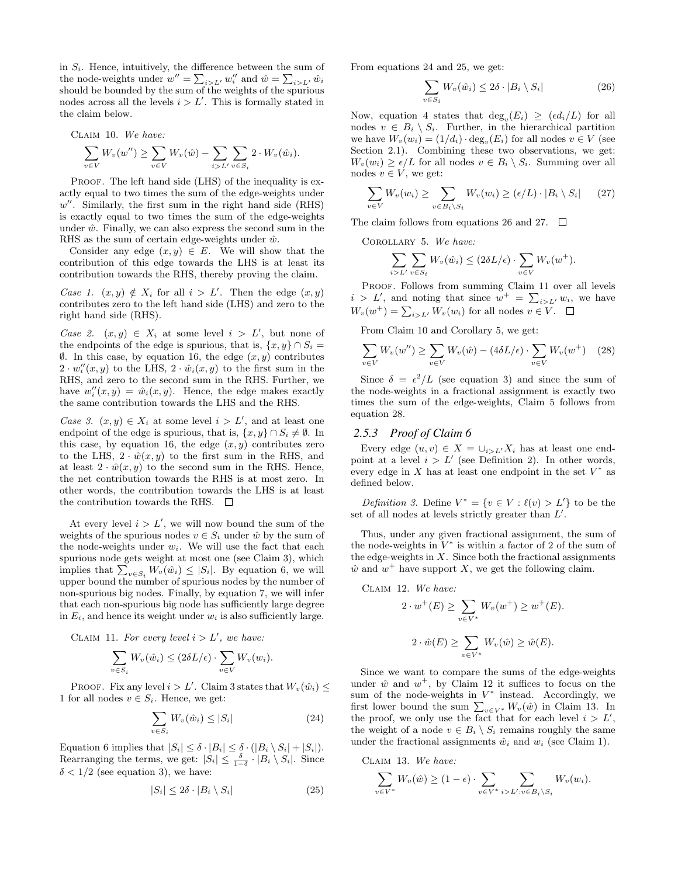in  $S_i$ . Hence, intuitively, the difference between the sum of the node-weights under  $w'' = \sum_{i>L'} w_i''$  and  $\hat{w} = \sum_{i>L'} \hat{w}_i$ should be bounded by the sum of the weights of the spurious nodes across all the levels  $i > L'$ . This is formally stated in the claim below.

CLAIM 10. We have:  
\n
$$
\sum_{v \in V} W_v(w'') \ge \sum_{v \in V} W_v(\hat{w}) - \sum_{i > L'} \sum_{v \in S_i} 2 \cdot W_v(\hat{w}_i).
$$

PROOF. The left hand side (LHS) of the inequality is exactly equal to two times the sum of the edge-weights under  $w''$ . Similarly, the first sum in the right hand side (RHS) is exactly equal to two times the sum of the edge-weights under  $\hat{w}$ . Finally, we can also express the second sum in the RHS as the sum of certain edge-weights under  $\hat{w}$ .

Consider any edge  $(x, y) \in E$ . We will show that the contribution of this edge towards the LHS is at least its contribution towards the RHS, thereby proving the claim.

Case 1.  $(x, y) \notin X_i$  for all  $i > L'$ . Then the edge  $(x, y)$ contributes zero to the left hand side (LHS) and zero to the right hand side (RHS).

Case 2.  $(x, y) \in X_i$  at some level  $i > L'$ , but none of the endpoints of the edge is spurious, that is,  $\{x, y\} \cap S_i =$  $\emptyset$ . In this case, by equation 16, the edge  $(x, y)$  contributes  $2 \cdot w''_i(x, y)$  to the LHS,  $2 \cdot \hat{w}_i(x, y)$  to the first sum in the RHS, and zero to the second sum in the RHS. Further, we have  $w''_i(x, y) = \hat{w}_i(x, y)$ . Hence, the edge makes exactly the same contribution towards the LHS and the RHS.

Case 3.  $(x, y) \in X_i$  at some level  $i > L'$ , and at least one endpoint of the edge is spurious, that is,  $\{x, y\} \cap S_i \neq \emptyset$ . In this case, by equation 16, the edge  $(x, y)$  contributes zero to the LHS,  $2 \cdot \hat{w}(x, y)$  to the first sum in the RHS, and at least  $2 \cdot \hat{w}(x, y)$  to the second sum in the RHS. Hence, the net contribution towards the RHS is at most zero. In other words, the contribution towards the LHS is at least the contribution towards the RHS.  $\Box$ 

At every level  $i > L'$ , we will now bound the sum of the weights of the spurious nodes  $v \in S_i$  under  $\hat{w}$  by the sum of the node-weights under  $w_i$ . We will use the fact that each spurious node gets weight at most one (see Claim 3), which implies that  $\sum_{v \in S_i} W_v(\hat{w}_i) \leq |S_i|$ . By equation 6, we will upper bound the number of spurious nodes by the number of non-spurious big nodes. Finally, by equation 7, we will infer that each non-spurious big node has sufficiently large degree in  $E_i$ , and hence its weight under  $w_i$  is also sufficiently large.

CLAIM 11. For every level  $i > L'$ , we have:

$$
\sum_{v \in S_i} W_v(\hat{w}_i) \leq (2\delta L/\epsilon) \cdot \sum_{v \in V} W_v(w_i).
$$

PROOF. Fix any level  $i > L'$ . Claim 3 states that  $W_v(\hat{w}_i) \leq$ 1 for all nodes  $v \in S_i$ . Hence, we get:

$$
\sum_{v \in S_i} W_v(\hat{w}_i) \le |S_i| \tag{24}
$$

Equation 6 implies that  $|S_i| \leq \delta \cdot |B_i| \leq \delta \cdot (|B_i \setminus S_i| + |S_i|).$ Rearranging the terms, we get:  $|S_i| \leq \frac{\delta}{1-\delta} \cdot |B_i \setminus S_i|$ . Since  $\delta < 1/2$  (see equation 3), we have:

$$
|S_i| \le 2\delta \cdot |B_i \setminus S_i| \tag{25}
$$

From equations 24 and 25, we get:

$$
\sum_{v \in S_i} W_v(\hat{w}_i) \le 2\delta \cdot |B_i \setminus S_i| \tag{26}
$$

Now, equation 4 states that  $deg_v(E_i) \geq (ed_i/L)$  for all nodes  $v \in B_i \setminus S_i$ . Further, in the hierarchical partition we have  $W_v(w_i) = (1/d_i) \cdot \text{deg}_v(E_i)$  for all nodes  $v \in V$  (see Section 2.1). Combining these two observations, we get:  $W_v(w_i) \geq \epsilon/L$  for all nodes  $v \in B_i \setminus S_i$ . Summing over all nodes  $v \in V$ , we get:

$$
\sum_{v \in V} W_v(w_i) \ge \sum_{v \in B_i \setminus S_i} W_v(w_i) \ge (\epsilon/L) \cdot |B_i \setminus S_i| \qquad (27)
$$

The claim follows from equations 26 and 27.  $\Box$ 

Corollary 5. We have:

$$
\sum_{i>L'} \sum_{v \in S_i} W_v(\hat{w}_i) \le (2\delta L/\epsilon) \cdot \sum_{v \in V} W_v(w^+).
$$

PROOF. Follows from summing Claim 11 over all levels  $i > L'$ , and noting that since  $w^+ = \sum_{i>L'} w_i$ , we have  $W_v(w^+) = \sum_{i>L'} W_v(w_i)$  for all nodes  $v \in V$ .

From Claim 10 and Corollary 5, we get:

$$
\sum_{v \in V} W_v(w'') \ge \sum_{v \in V} W_v(\hat{w}) - (4\delta L/\epsilon) \cdot \sum_{v \in V} W_v(w^+) \quad (28)
$$

Since  $\delta = \epsilon^2/L$  (see equation 3) and since the sum of the node-weights in a fractional assignment is exactly two times the sum of the edge-weights, Claim 5 follows from equation 28.

#### *2.5.3 Proof of Claim 6*

Every edge  $(u, v) \in X = \bigcup_{i > L'} X_i$  has at least one endpoint at a level  $i > L'$  (see Definition 2). In other words, every edge in  $X$  has at least one endpoint in the set  $V^*$  as defined below.

Definition 3. Define  $V^* = \{v \in V : \ell(v) > L'\}$  to be the set of all nodes at levels strictly greater than  $L'$ .

Thus, under any given fractional assignment, the sum of the node-weights in  $V^*$  is within a factor of 2 of the sum of the edge-weights in  $X$ . Since both the fractional assignments  $\hat{w}$  and  $w^+$  have support X, we get the following claim.

CLAIM 12. We have:  
\n
$$
2 \cdot w^{+}(E) \ge \sum_{v \in V^{*}} W_{v}(w^{+}) \ge w^{+}(E).
$$
\n
$$
2 \cdot \hat{w}(E) \ge \sum_{v \in V^{*}} W_{v}(\hat{w}) \ge \hat{w}(E).
$$

Since we want to compare the sums of the edge-weights under  $\hat{w}$  and  $w^+$ , by Claim 12 it suffices to focus on the sum of the node-weights in  $V^*$  instead. Accordingly, we first lower bound the sum  $\sum_{v \in V^*} W_v(\hat{w})$  in Claim 13. In the proof, we only use the fact that for each level  $i > L'$ , the weight of a node  $v \in B_i \setminus S_i$  remains roughly the same under the fractional assignments  $\hat{w}_i$  and  $w_i$  (see Claim 1).

Claim 13. We have:

$$
\sum_{v \in V^*} W_v(\hat{w}) \ge (1 - \epsilon) \cdot \sum_{v \in V^*} \sum_{i > L': v \in B_i \setminus S_i} W_v(w_i).
$$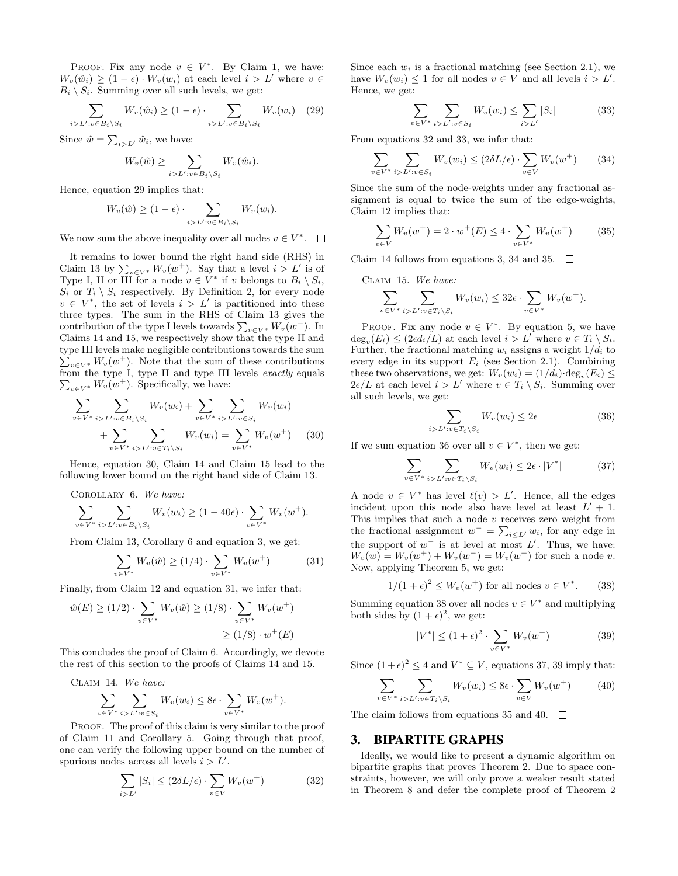PROOF. Fix any node  $v \in V^*$ . By Claim 1, we have:  $W_v(\hat{w}_i) > (1 - \epsilon) \cdot W_v(w_i)$  at each level  $i > L'$  where  $v \in$  $B_i \setminus S_i$ . Summing over all such levels, we get:

$$
\sum_{i>L':v\in B_i\setminus S_i} W_v(\hat{w}_i) \ge (1-\epsilon) \cdot \sum_{i>L':v\in B_i\setminus S_i} W_v(w_i) \quad (29)
$$

Since  $\hat{w} = \sum_{i>L'} \hat{w}_i$ , we have:

$$
W_v(\hat{w}) \ge \sum_{i > L': v \in B_i \setminus S_i} W_v(\hat{w}_i).
$$

Hence, equation 29 implies that:

$$
W_v(\hat{w}) \ge (1 - \epsilon) \cdot \sum_{i > L': v \in B_i \setminus S_i} W_v(w_i).
$$

We now sum the above inequality over all nodes  $v \in V^*$ .

It remains to lower bound the right hand side (RHS) in Claim 13 by  $\sum_{v \in V^*} W_v(w^+)$ . Say that a level  $i > L'$  is of Type I, II or III for a node  $v \in V^*$  if v belongs to  $B_i \setminus S_i$ ,  $S_i$  or  $T_i \setminus S_i$  respectively. By Definition 2, for every node  $v \in V^*$ , the set of levels  $i > L'$  is partitioned into these three types. The sum in the RHS of Claim 13 gives the contribution of the type I levels towards  $\sum_{v \in V^*} W_v(w^+)$ . In Claims 14 and 15, we respectively show that the type II and type III levels make negligible contributions towards the sum  $\sum_{v \in V^*} W_v(w^+)$ . Note that the sum of these contributions  $\sum_{v \in V^*} W_v(w^+)$ . Specifically, we have: from the type I, type II and type III levels exactly equals

$$
\sum_{v \in V^*} \sum_{i > L': v \in B_i \setminus S_i} W_v(w_i) + \sum_{v \in V^*} \sum_{i > L': v \in S_i} W_v(w_i)
$$
  
+ 
$$
\sum_{v \in V^*} \sum_{i > L': v \in T_i \setminus S_i} W_v(w_i) = \sum_{v \in V^*} W_v(w^+) \tag{30}
$$

Hence, equation 30, Claim 14 and Claim 15 lead to the following lower bound on the right hand side of Claim 13.

Corollary 6. We have:

$$
\sum_{v \in V^*} \sum_{i > L': v \in B_i \setminus S_i} W_v(w_i) \ge (1 - 40\epsilon) \cdot \sum_{v \in V^*} W_v(w^+).
$$

From Claim 13, Corollary 6 and equation 3, we get:

$$
\sum_{v \in V^*} W_v(\hat{w}) \ge (1/4) \cdot \sum_{v \in V^*} W_v(w^+) \tag{31}
$$

Finally, from Claim 12 and equation 31, we infer that:

$$
\hat{w}(E) \ge (1/2) \cdot \sum_{v \in V^*} W_v(\hat{w}) \ge (1/8) \cdot \sum_{v \in V^*} W_v(w^+) \ge (1/8) \cdot w^+(E)
$$

This concludes the proof of Claim 6. Accordingly, we devote the rest of this section to the proofs of Claims 14 and 15.

CLAIM 14. We have:  
\n
$$
\sum_{v \in V^*} \sum_{i > L': v \in S_i} W_v(w_i) \le 8\epsilon \cdot \sum_{v \in V^*} W_v(w^+).
$$

PROOF. The proof of this claim is very similar to the proof of Claim 11 and Corollary 5. Going through that proof, one can verify the following upper bound on the number of spurious nodes across all levels  $i > L'$ .

$$
\sum_{i>L'} |S_i| \le (2\delta L/\epsilon) \cdot \sum_{v \in V} W_v(w^+) \tag{32}
$$

Since each  $w_i$  is a fractional matching (see Section 2.1), we have  $W_v(w_i) \leq 1$  for all nodes  $v \in V$  and all levels  $i > L'$ . Hence, we get:

$$
\sum_{v \in V^*} \sum_{i > L': v \in S_i} W_v(w_i) \le \sum_{i > L'} |S_i| \tag{33}
$$

From equations 32 and 33, we infer that:

$$
\sum_{v \in V^*} \sum_{i > L': v \in S_i} W_v(w_i) \le (2\delta L/\epsilon) \cdot \sum_{v \in V} W_v(w^+) \tag{34}
$$

Since the sum of the node-weights under any fractional assignment is equal to twice the sum of the edge-weights, Claim 12 implies that:

$$
\sum_{v \in V} W_v(w^+) = 2 \cdot w^+(E) \le 4 \cdot \sum_{v \in V^*} W_v(w^+) \tag{35}
$$

Claim 14 follows from equations 3, 34 and 35.  $\Box$ 

Claim 15. We have:

$$
\sum_{v \in V^*} \sum_{i > L': v \in T_i \setminus S_i} W_v(w_i) \leq 32\epsilon \cdot \sum_{v \in V^*} W_v(w^+).
$$

PROOF. Fix any node  $v \in V^*$ . By equation 5, we have  $\deg_v(E_i) \leq (2\epsilon d_i/L)$  at each level  $i > L'$  where  $v \in T_i \setminus S_i$ . Further, the fractional matching  $w_i$  assigns a weight  $1/d_i$  to every edge in its support  $E_i$  (see Section 2.1). Combining these two observations, we get:  $W_v(w_i) = (1/d_i) \cdot \deg_v(E_i) \le$  $2\epsilon/L$  at each level  $i > L'$  where  $v \in T_i \setminus S_i$ . Summing over all such levels, we get:

$$
\sum_{\substack{\sum i : v \in T_i \setminus S_i}} W_v(w_i) \le 2\epsilon \tag{36}
$$

If we sum equation 36 over all  $v \in V^*$ , then we get:

 $\boldsymbol{i}$ 

$$
\sum_{v \in V^*} \sum_{i > L': v \in T_i \setminus S_i} W_v(w_i) \le 2\epsilon \cdot |V^*| \tag{37}
$$

A node  $v \in V^*$  has level  $\ell(v) > L'$ . Hence, all the edges incident upon this node also have level at least  $L' + 1$ . This implies that such a node v receives zero weight from the fractional assignment  $w^- = \sum_{i \leq L'} w_i$ , for any edge in the support of  $w^-$  is at level at most  $L'$ . Thus, we have:  $W_v(w) = W_v(w^+) + W_v(w^-) = W_v(w^+)$  for such a node v. Now, applying Theorem 5, we get:

$$
1/(1+\epsilon)^2 \le W_v(w^+) \text{ for all nodes } v \in V^*.
$$
 (38)

Summing equation 38 over all nodes  $v \in V^*$  and multiplying both sides by  $(1 + \epsilon)^2$ , we get:

$$
|V^*| \le (1+\epsilon)^2 \cdot \sum_{v \in V^*} W_v(w^+) \tag{39}
$$

Since  $(1+\epsilon)^2 \leq 4$  and  $V^* \subseteq V$ , equations 37, 39 imply that:

$$
\sum_{v \in V^*} \sum_{i > L': v \in T_i \setminus S_i} W_v(w_i) \le 8\epsilon \cdot \sum_{v \in V} W_v(w^+) \tag{40}
$$

The claim follows from equations 35 and 40.  $\Box$ 

#### 3. BIPARTITE GRAPHS

Ideally, we would like to present a dynamic algorithm on bipartite graphs that proves Theorem 2. Due to space constraints, however, we will only prove a weaker result stated in Theorem 8 and defer the complete proof of Theorem 2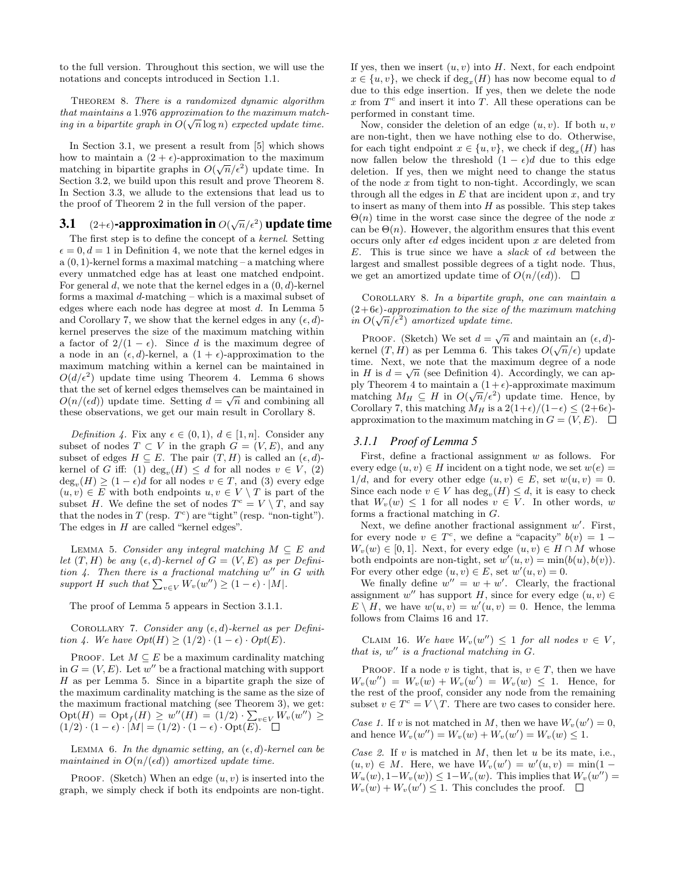to the full version. Throughout this section, we will use the notations and concepts introduced in Section 1.1.

Theorem 8. There is a randomized dynamic algorithm that maintains a 1.976 approximation to the maximum matching in a bipartite graph in  $O(\sqrt{n}\log n)$  expected update time.

In Section 3.1, we present a result from [5] which shows how to maintain a  $(2 + \epsilon)$ -approximation to the maximum matching in bipartite graphs in  $O(\sqrt{n}/\epsilon^2)$  update time. In Section 3.2, we build upon this result and prove Theorem 8. In Section 3.3, we allude to the extensions that lead us to the proof of Theorem 2 in the full version of the paper.

## **3.1** (2+ $\epsilon$ )-approximation in  $O(\sqrt{n}/\epsilon^2)$  update time

The first step is to define the concept of a kernel. Setting  $\epsilon = 0, d = 1$  in Definition 4, we note that the kernel edges in  $a(0, 1)$ -kernel forms a maximal matching – a matching where every unmatched edge has at least one matched endpoint. For general  $d$ , we note that the kernel edges in a  $(0, d)$ -kernel forms a maximal d-matching – which is a maximal subset of edges where each node has degree at most d. In Lemma 5 and Corollary 7, we show that the kernel edges in any  $(\epsilon, d)$ kernel preserves the size of the maximum matching within a factor of  $2/(1 - \epsilon)$ . Since d is the maximum degree of a node in an  $(\epsilon, d)$ -kernel, a  $(1 + \epsilon)$ -approximation to the maximum matching within a kernel can be maintained in  $O(d/\epsilon^2)$  update time using Theorem 4. Lemma 6 shows that the set of kernel edges themselves can be maintained in  $O(n/(\epsilon d))$  update time. Setting  $d = \sqrt{n}$  and combining all these observations, we get our main result in Corollary 8.

Definition 4. Fix any  $\epsilon \in (0,1)$ ,  $d \in [1,n]$ . Consider any subset of nodes  $T \subset V$  in the graph  $G = (V, E)$ , and any subset of edges  $H \subseteq E$ . The pair  $(T, H)$  is called an  $(\epsilon, d)$ kernel of G iff: (1)  $deg_v(H) \le d$  for all nodes  $v \in V$ , (2)  $deg_v(H) \geq (1 - \epsilon)d$  for all nodes  $v \in T$ , and (3) every edge  $(u, v) \in E$  with both endpoints  $u, v \in V \setminus T$  is part of the subset H. We define the set of nodes  $T^c = V \setminus T$ , and say that the nodes in  $T$  (resp.  $T<sup>c</sup>$ ) are "tight" (resp. "non-tight"). The edges in  $H$  are called "kernel edges".

LEMMA 5. Consider any integral matching  $M \subseteq E$  and let  $(T, H)$  be any  $(\epsilon, d)$ -kernel of  $G = (V, E)$  as per Definition  $4$ . Then there is a fractional matching  $w''$  in G with support H such that  $\sum_{v \in V} W_v(w'') \geq (1 - \epsilon) \cdot |M|$ .

The proof of Lemma 5 appears in Section 3.1.1.

COROLLARY 7. Consider any  $(\epsilon, d)$ -kernel as per Definition 4. We have  $Opt(H) \ge (1/2) \cdot (1 - \epsilon) \cdot Opt(E)$ .

PROOF. Let  $M \subseteq E$  be a maximum cardinality matching in  $G = (V, E)$ . Let w'' be a fractional matching with support  $H$  as per Lemma 5. Since in a bipartite graph the size of the maximum cardinality matching is the same as the size of the maximum fractional matching (see Theorem 3), we get:  $\mathrm{Opt}(H) = \mathrm{Opt}_f(H) \geq w''(H) = (1/2) \cdot \sum_{v \in V} W_v(w'') \geq$  $(1/2) \cdot (1 - \epsilon) \cdot |M| = (1/2) \cdot (1 - \epsilon) \cdot \text{Opt}(E).$ 

LEMMA 6. In the dynamic setting, an  $(\epsilon, d)$ -kernel can be maintained in  $O(n/(\epsilon d))$  amortized update time.

PROOF. (Sketch) When an edge  $(u, v)$  is inserted into the graph, we simply check if both its endpoints are non-tight.

If yes, then we insert  $(u, v)$  into H. Next, for each endpoint  $x \in \{u, v\}$ , we check if  $\deg_x(H)$  has now become equal to d due to this edge insertion. If yes, then we delete the node x from  $T<sup>c</sup>$  and insert it into T. All these operations can be performed in constant time.

Now, consider the deletion of an edge  $(u, v)$ . If both  $u, v$ are non-tight, then we have nothing else to do. Otherwise, for each tight endpoint  $x \in \{u, v\}$ , we check if  $\deg_x(H)$  has now fallen below the threshold  $(1 - \epsilon)d$  due to this edge deletion. If yes, then we might need to change the status of the node  $x$  from tight to non-tight. Accordingly, we scan through all the edges in  $E$  that are incident upon  $x$ , and try to insert as many of them into  $H$  as possible. This step takes  $\Theta(n)$  time in the worst case since the degree of the node x can be  $\Theta(n)$ . However, the algorithm ensures that this event occurs only after  $\epsilon d$  edges incident upon x are deleted from E. This is true since we have a *slack* of  $\epsilon d$  between the largest and smallest possible degrees of a tight node. Thus, we get an amortized update time of  $O(n/(\epsilon d))$ .  $\Box$ 

Corollary 8. In a bipartite graph, one can maintain a  $(2+6\epsilon)$ -approximation to the size of the maximum matching in  $O(\sqrt{n}/\epsilon^2)$  amortized update time.

PROOF. (Sketch) We set  $d = \sqrt{n}$  and maintain an  $(\epsilon, d)$ kernel  $(T, H)$  as per Lemma 6. This takes  $O(\sqrt{n}/\epsilon)$  update time. Next, we note that the maximum degree of a node in H is  $d = \sqrt{n}$  (see Definition 4). Accordingly, we can apply Theorem 4 to maintain a  $(1 + \epsilon)$ -approximate maximum ply Theorem 4 to maintain a  $(1+\epsilon)$ -approximate maximum<br>matching  $M_H \subseteq H$  in  $O(\sqrt{n}/\epsilon^2)$  update time. Hence, by Corollary 7, this matching  $M_H$  is a  $2(1+\epsilon)/(1-\epsilon) \le (2+6\epsilon)$ approximation to the maximum matching in  $G = (V, E)$ .  $\Box$ 

#### *3.1.1 Proof of Lemma 5*

First, define a fractional assignment  $w$  as follows. For every edge  $(u, v) \in H$  incident on a tight node, we set  $w(e)$  $1/d$ , and for every other edge  $(u, v) \in E$ , set  $w(u, v) = 0$ . Since each node  $v \in V$  has  $deg_v(H) \leq d$ , it is easy to check that  $W_v(w) \leq 1$  for all nodes  $v \in V$ . In other words, w forms a fractional matching in G.

Next, we define another fractional assignment  $w'$ . First, for every node  $v \in T^c$ , we define a "capacity"  $b(v) = 1 W_v(w) \in [0,1]$ . Next, for every edge  $(u, v) \in H \cap M$  whose both endpoints are non-tight, set  $w'(u, v) = \min(b(u), b(v)).$ For every other edge  $(u, v) \in E$ , set  $w'(u, v) = 0$ .

We finally define  $w'' = w + w'$ . Clearly, the fractional assignment w'' has support H, since for every edge  $(u, v) \in$  $E \setminus H$ , we have  $w(u, v) = w'(u, v) = 0$ . Hence, the lemma follows from Claims 16 and 17.

CLAIM 16. We have  $W_v(w'') \leq 1$  for all nodes  $v \in V$ , that is,  $w''$  is a fractional matching in  $G$ .

PROOF. If a node v is tight, that is,  $v \in T$ , then we have  $W_v(w'') = W_v(w) + W_v(w') = W_v(w) \leq 1.$  Hence, for the rest of the proof, consider any node from the remaining subset  $v \in T^c = V \setminus T$ . There are two cases to consider here.

Case 1. If v is not matched in M, then we have  $W_v(w') = 0$ , and hence  $W_v(w'') = W_v(w) + W_v(w') = W_v(w) \leq 1$ .

Case 2. If  $v$  is matched in  $M$ , then let  $u$  be its mate, i.e.,  $(u, v) \in M$ . Here, we have  $W_v(w') = w'(u, v) = \min(1 W_u(w), 1-W_v(w) \leq 1-W_v(w)$ . This implies that  $W_v(w'') =$  $W_v(w) + W_v(w') \leq 1$ . This concludes the proof.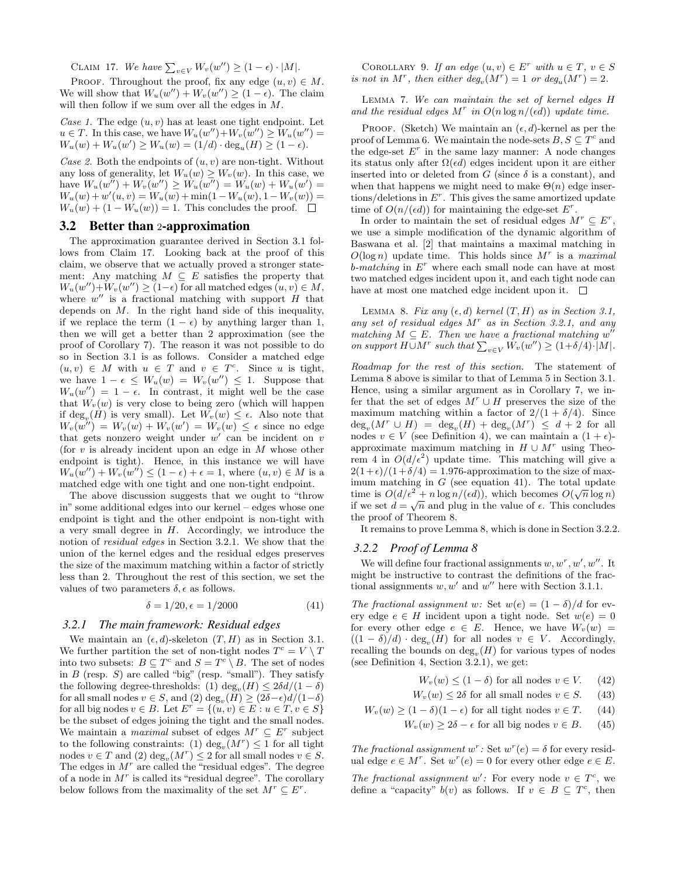CLAIM 17. We have  $\sum_{v \in V} W_v(w'') \geq (1 - \epsilon) \cdot |M|$ .

PROOF. Throughout the proof, fix any edge  $(u, v) \in M$ . We will show that  $W_u(w'') + W_v(w'') \geq (1 - \epsilon)$ . The claim will then follow if we sum over all the edges in  $M$ .

Case 1. The edge  $(u, v)$  has at least one tight endpoint. Let  $u \in T$ . In this case, we have  $W_u(w'') + W_v(w'') \ge W_u(w'') =$  $W_u(w) + W_u(w') \ge W_u(w) = (1/d) \cdot \deg_u(H) \ge (1 - \epsilon).$ 

Case 2. Both the endpoints of  $(u, v)$  are non-tight. Without any loss of generality, let  $W_u(w) \geq W_v(w)$ . In this case, we have  $W_u(w'') + W_v(w'') \ge W_u(w'') = W_u(w) + W_u(w') =$  $W_u(w) + w'(u, v) = W_u(w) + \min(1 - W_u(w), 1 - W_v(w)) =$  $W_u(w) + (1 - W_u(w)) = 1$ . This concludes the proof.  $\square$ 

#### 3.2 Better than 2-approximation

The approximation guarantee derived in Section 3.1 follows from Claim 17. Looking back at the proof of this claim, we observe that we actually proved a stronger statement: Any matching  $M \subseteq E$  satisfies the property that  $W_u(w'') + W_v(w'') \ge (1 - \epsilon)$  for all matched edges  $(u, v) \in M$ , where  $w''$  is a fractional matching with support  $H$  that depends on  $M$ . In the right hand side of this inequality, if we replace the term  $(1 - \epsilon)$  by anything larger than 1, then we will get a better than 2 approximation (see the proof of Corollary 7). The reason it was not possible to do so in Section 3.1 is as follows. Consider a matched edge  $(u, v) \in M$  with  $u \in T$  and  $v \in T^c$ . Since u is tight, we have  $1 - \epsilon \leq W_u(w) = W_v(w'') \leq 1$ . Suppose that  $W_u(w'') = 1 - \epsilon$ . In contrast, it might well be the case that  $W_v(w)$  is very close to being zero (which will happen if  $\deg_v(H)$  is very small). Let  $W_v(w) \leq \epsilon$ . Also note that  $W_v(w'') = W_v(w) + W_v(w') = W_v(w) \leq \epsilon$  since no edge that gets nonzero weight under  $w'$  can be incident on v (for  $v$  is already incident upon an edge in  $M$  whose other endpoint is tight). Hence, in this instance we will have  $W_u(w'') + W_v(w'') \leq (1 - \epsilon) + \epsilon = 1$ , where  $(u, v) \in M$  is a matched edge with one tight and one non-tight endpoint.

The above discussion suggests that we ought to "throw in" some additional edges into our kernel – edges whose one endpoint is tight and the other endpoint is non-tight with a very small degree in  $H$ . Accordingly, we introduce the notion of residual edges in Section 3.2.1. We show that the union of the kernel edges and the residual edges preserves the size of the maximum matching within a factor of strictly less than 2. Throughout the rest of this section, we set the values of two parameters  $\delta$ ,  $\epsilon$  as follows.

$$
\delta = 1/20, \epsilon = 1/2000 \tag{41}
$$

#### *3.2.1 The main framework: Residual edges*

We maintain an  $(\epsilon, d)$ -skeleton  $(T, H)$  as in Section 3.1. We further partition the set of non-tight nodes  $T^c = V \setminus T$ into two subsets:  $B \subseteq T^c$  and  $S = T^c \setminus B$ . The set of nodes in  $B$  (resp.  $S$ ) are called "big" (resp. "small"). They satisfy the following degree-thresholds: (1)  $\deg_v(H) \leq 2\delta d/(1-\delta)$ for all small nodes  $v \in S$ , and  $(2) \deg_v(H) \geq (2\delta - \epsilon)d/(1-\delta)$ for all big nodes  $v \in B$ . Let  $E^r = \{(u, v) \in E : u \in T, v \in S\}$ be the subset of edges joining the tight and the small nodes. We maintain a *maximal* subset of edges  $M^r \subseteq E^r$  subject to the following constraints: (1)  $deg_v(M^r) \leq 1$  for all tight nodes  $v \in T$  and  $(2)$  deg<sub>v</sub> $(M<sup>r</sup>) \le 2$  for all small nodes  $v \in S$ . The edges in  $M<sup>r</sup>$  are called the "residual edges". The degree of a node in  $M<sup>r</sup>$  is called its "residual degree". The corollary below follows from the maximality of the set  $M^r \subseteq E^r$ .

COROLLARY 9. If an edge  $(u, v) \in E^r$  with  $u \in T$ ,  $v \in S$ is not in  $M^r$ , then either  $deg_v(M^r) = 1$  or  $deg_u(M^r) = 2$ .

Lemma 7. We can maintain the set of kernel edges H and the residual edges  $M^r$  in  $O(n \log n/(\epsilon d))$  update time.

PROOF. (Sketch) We maintain an  $(\epsilon, d)$ -kernel as per the proof of Lemma 6. We maintain the node-sets  $B, S \subseteq T^c$  and the edge-set  $E<sup>r</sup>$  in the same lazy manner: A node changes its status only after  $\Omega(\epsilon d)$  edges incident upon it are either inserted into or deleted from G (since  $\delta$  is a constant), and when that happens we might need to make  $\Theta(n)$  edge insertions/deletions in  $E^r$ . This gives the same amortized update time of  $O(n/(\epsilon d))$  for maintaining the edge-set  $E^r$ .

In order to maintain the set of residual edges  $M^r \subseteq E^r$ , we use a simple modification of the dynamic algorithm of Baswana et al. [2] that maintains a maximal matching in  $O(\log n)$  update time. This holds since  $M^r$  is a maximal  $b$ -matching in  $E^r$  where each small node can have at most two matched edges incident upon it, and each tight node can have at most one matched edge incident upon it.  $\square$ 

LEMMA 8. Fix any  $(\epsilon, d)$  kernel  $(T, H)$  as in Section 3.1, any set of residual edges  $M<sup>r</sup>$  as in Section 3.2.1, and any matching  $M \subseteq E$ . Then we have a fractional matching w'' on support  $H \cup M^r$  such that  $\sum_{v \in V} W_v(w'') \geq (1 + \delta/4) \cdot |M|$ .

Roadmap for the rest of this section. The statement of Lemma 8 above is similar to that of Lemma 5 in Section 3.1. Hence, using a similar argument as in Corollary 7, we infer that the set of edges  $M^r \cup H$  preserves the size of the maximum matching within a factor of  $2/(1 + \delta/4)$ . Since  $deg_v(M^r \cup H) = deg_v(H) + deg_v(M^r) \leq d+2$  for all nodes  $v \in V$  (see Definition 4), we can maintain a  $(1 + \epsilon)$ approximate maximum matching in  $H \cup M^r$  using Theorem 4 in  $O(d/\epsilon^2)$  update time. This matching will give a  $2(1+\epsilon)/(1+\delta/4) = 1.976$ -approximation to the size of maximum matching in G (see equation 41). The total update time is  $O(d/\epsilon^2 + n \log n/(\epsilon d))$ , which becomes  $O(\sqrt{n} \log n)$ if we set  $d = \sqrt{n}$  and plug in the value of  $\epsilon$ . This concludes the proof of Theorem 8.

It remains to prove Lemma 8, which is done in Section 3.2.2.

#### *3.2.2 Proof of Lemma 8*

We will define four fractional assignments  $w, w^r, w', w''$ . It might be instructive to contrast the definitions of the fractional assignments  $w, w'$  and  $w''$  here with Section 3.1.1.

The fractional assignment w: Set  $w(e) = (1 - \delta)/d$  for every edge  $e \in H$  incident upon a tight node. Set  $w(e) = 0$ for every other edge  $e \in E$ . Hence, we have  $W_v(w) =$  $((1 - \delta)/d) \cdot \deg_v(H)$  for all nodes  $v \in V$ . Accordingly, recalling the bounds on  $deg_v(H)$  for various types of nodes (see Definition 4, Section 3.2.1), we get:

$$
W_v(w) \le (1 - \delta) \text{ for all nodes } v \in V. \tag{42}
$$

- $W_v(w) \leq 2\delta$  for all small nodes  $v \in S$ . (43)
- $W_v(w) \ge (1 \delta)(1 \epsilon)$  for all tight nodes  $v \in T$ . (44)
	- $W_v(w) \ge 2\delta \epsilon$  for all big nodes  $v \in B$ . (45)

The fractional assignment  $w^r$ : Set  $w^r(e) = \delta$  for every residual edge  $e \in M^r$ . Set  $w^r(e) = 0$  for every other edge  $e \in E$ .

The fractional assignment w': For every node  $v \in T^c$ , we define a "capacity"  $b(v)$  as follows. If  $v \in B \subseteq T^c$ , then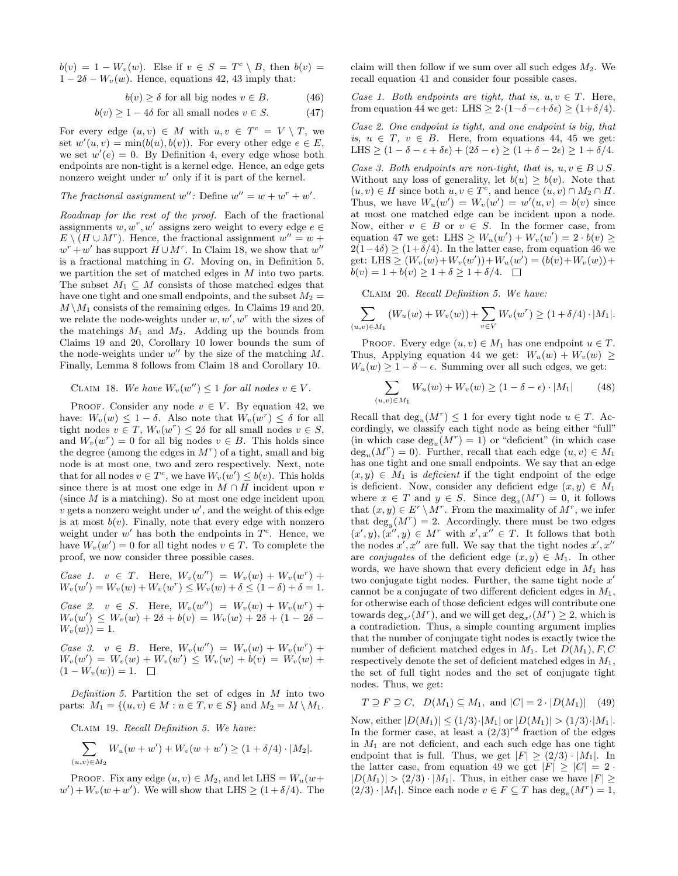$b(v) = 1 - W_v(w)$ . Else if  $v \in S = T^c \setminus B$ , then  $b(v) =$  $1 - 2\delta - W_v(w)$ . Hence, equations 42, 43 imply that:

$$
b(v) \ge \delta \text{ for all big nodes } v \in B. \tag{46}
$$

$$
b(v) \ge 1 - 4\delta \text{ for all small nodes } v \in S. \tag{47}
$$

For every edge  $(u, v) \in M$  with  $u, v \in T^c = V \setminus T$ , we set  $w'(u, v) = \min(b(u), b(v))$ . For every other edge  $e \in E$ , we set  $w'(e) = 0$ . By Definition 4, every edge whose both endpoints are non-tight is a kernel edge. Hence, an edge gets nonzero weight under  $w'$  only if it is part of the kernel.

The fractional assignment 
$$
w''
$$
: Define  $w'' = w + w^r + w'.$ 

Roadmap for the rest of the proof. Each of the fractional assignments  $w, w^r, w'$  assigns zero weight to every edge  $e \in$  $E \setminus (H \cup M^r)$ . Hence, the fractional assignment  $w'' = w +$  $w^r + w'$  has support  $H \cup M^r$ . In Claim 18, we show that  $w''$ is a fractional matching in  $G$ . Moving on, in Definition 5, we partition the set of matched edges in M into two parts. The subset  $M_1 \subseteq M$  consists of those matched edges that have one tight and one small endpoints, and the subset  $M_2 =$  $M \setminus M_1$  consists of the remaining edges. In Claims 19 and 20, we relate the node-weights under  $w, w', w^r$  with the sizes of the matchings  $M_1$  and  $M_2$ . Adding up the bounds from Claims 19 and 20, Corollary 10 lower bounds the sum of the node-weights under  $w''$  by the size of the matching M. Finally, Lemma 8 follows from Claim 18 and Corollary 10.

**CLAIM 18.** We have 
$$
W_v(w'') \leq 1
$$
 for all nodes  $v \in V$ .

PROOF. Consider any node  $v \in V$ . By equation 42, we have:  $W_v(w) \leq 1 - \delta$ . Also note that  $W_v(w^r) \leq \delta$  for all tight nodes  $v \in T$ ,  $W_v(w^r) \leq 2\delta$  for all small nodes  $v \in S$ , and  $W_v(w^r) = 0$  for all big nodes  $v \in B$ . This holds since the degree (among the edges in  $M<sup>r</sup>$ ) of a tight, small and big node is at most one, two and zero respectively. Next, note that for all nodes  $v \in T^c$ , we have  $W_v(w') \leq b(v)$ . This holds since there is at most one edge in  $M \cap H$  incident upon v (since  $M$  is a matching). So at most one edge incident upon  $\hat{v}$  gets a nonzero weight under  $w'$ , and the weight of this edge is at most  $b(v)$ . Finally, note that every edge with nonzero weight under  $w'$  has both the endpoints in  $T<sup>c</sup>$ . Hence, we have  $W_v(w') = 0$  for all tight nodes  $v \in T$ . To complete the proof, we now consider three possible cases.

Case 1.  $v \in T$ . Here,  $W_v(w'') = W_v(w) + W_v(w^r) +$  $W_v(w') = W_v(w) + W_v(w^r) \leq W_v(w) + \delta \leq (1 - \delta) + \delta = 1.$ Case 2.  $v \in S$ . Here,  $W_v(w'') = W_v(w) + W_v(w^r) +$  $W_v(w') \leq W_v(w) + 2\delta + b(v) = W_v(w) + 2\delta + (1 - 2\delta W_v(w) = 1.$ 

Case 3.  $v \in B$ . Here,  $W_v(w'') = W_v(w) + W_v(w^r) +$  $W_v(w') = W_v(w) + W_v(w') \leq W_v(w) + b(v) = W_v(w) +$  $(1 - W_v(w)) = 1.$ 

Definition 5. Partition the set of edges in  $M$  into two parts:  $M_1 = \{(u, v) \in M : u \in T, v \in S\}$  and  $M_2 = M \setminus M_1$ .

Claim 19. Recall Definition 5. We have:

$$
\sum_{(u,v)\in M_2} W_u(w+w') + W_v(w+w') \ge (1+\delta/4) \cdot |M_2|.
$$

PROOF. Fix any edge  $(u, v) \in M_2$ , and let LHS =  $W_u(w+)$  $w'$  +  $W_v(w + w')$ . We will show that LHS  $\geq (1 + \delta/4)$ . The

claim will then follow if we sum over all such edges  $M_2$ . We recall equation 41 and consider four possible cases.

Case 1. Both endpoints are tight, that is,  $u, v \in T$ . Here, from equation 44 we get: LHS  $\geq 2 \cdot (1-\delta-\epsilon+\delta \epsilon) \geq (1+\delta/4)$ .

Case 2. One endpoint is tight, and one endpoint is big, that is,  $u \in T$ ,  $v \in B$ . Here, from equations 44, 45 we get: LHS  $\geq (1 - \delta - \epsilon + \delta \epsilon) + (2\delta - \epsilon) \geq (1 + \delta - 2\epsilon) \geq 1 + \delta/4.$ 

Case 3. Both endpoints are non-tight, that is,  $u, v \in B \cup S$ . Without any loss of generality, let  $b(u) \geq b(v)$ . Note that  $(u, v) \in H$  since both  $u, v \in T^c$ , and hence  $(u, v) \cap M_2 \cap H$ . Thus, we have  $W_u(w') = W_v(w') = w'(u, v) = b(v)$  since at most one matched edge can be incident upon a node. Now, either  $v \in B$  or  $v \in S$ . In the former case, from equation 47 we get: LHS  $\geq W_u(w') + W_v(w') = 2 \cdot b(v) \geq$  $2(1-4\delta) \ge (1+\delta/4)$ . In the latter case, from equation 46 we get: LHS  $\geq (W_v(w) + W_v(w')) + W_u(w') = (b(v) + W_v(w)) +$  $b(v) = 1 + b(v) \ge 1 + \delta \ge 1 + \delta/4.$ 

Claim 20. Recall Definition 5. We have:

$$
\sum_{(u,v)\in M_1} (W_u(w) + W_v(w)) + \sum_{v\in V} W_v(w^r) \ge (1 + \delta/4) \cdot |M_1|.
$$

PROOF. Every edge  $(u, v) \in M_1$  has one endpoint  $u \in T$ . Thus, Applying equation 44 we get:  $W_u(w) + W_v(w)$  $W_u(w) \geq 1 - \delta - \epsilon$ . Summing over all such edges, we get:

$$
\sum_{(u,v)\in M_1} W_u(w) + W_v(w) \ge (1 - \delta - \epsilon) \cdot |M_1| \tag{48}
$$

Recall that  $\deg_u(M^r) \leq 1$  for every tight node  $u \in T$ . Accordingly, we classify each tight node as being either "full" (in which case  $\deg_u(M^r) = 1$ ) or "deficient" (in which case  $deg_u(M^r) = 0$ ). Further, recall that each edge  $(u, v) \in M_1$ has one tight and one small endpoints. We say that an edge  $(x, y) \in M_1$  is *deficient* if the tight endpoint of the edge is deficient. Now, consider any deficient edge  $(x, y) \in M_1$ where  $x \in T$  and  $y \in S$ . Since  $deg_x(M^r) = 0$ , it follows that  $(x, y) \in E^r \setminus M^r$ . From the maximality of  $M^r$ , we infer that  $\deg_y(M^r) = 2$ . Accordingly, there must be two edges  $(x', y), (\dot{x}'', y) \in M^r$  with  $x', x'' \in T$ . It follows that both the nodes  $x', x''$  are full. We say that the tight nodes  $x', x''$ are *conjugates* of the deficient edge  $(x, y) \in M_1$ . In other words, we have shown that every deficient edge in  $M_1$  has two conjugate tight nodes. Further, the same tight node  $x'$ cannot be a conjugate of two different deficient edges in  $M_1$ , for otherwise each of those deficient edges will contribute one towards  $\deg_{x'}(M^r)$ , and we will get  $\deg_{x'}(M^r) \geq 2$ , which is a contradiction. Thus, a simple counting argument implies that the number of conjugate tight nodes is exactly twice the number of deficient matched edges in  $M_1$ . Let  $D(M_1)$ , F, C respectively denote the set of deficient matched edges in  $M_1$ , the set of full tight nodes and the set of conjugate tight nodes. Thus, we get:

$$
T \supseteq F \supseteq C, \quad D(M_1) \subseteq M_1, \text{ and } |C| = 2 \cdot |D(M_1)| \quad (49)
$$

Now, either  $|D(M_1)| \leq (1/3) \cdot |M_1|$  or  $|D(M_1)| > (1/3) \cdot |M_1|$ . In the former case, at least a  $(2/3)^{rd}$  fraction of the edges in  $M_1$  are not deficient, and each such edge has one tight endpoint that is full. Thus, we get  $|F| \ge (2/3) \cdot |M_1|$ . In the latter case, from equation 49 we get  $|F| \geq |C| = 2$ .  $|D(M_1)| > (2/3) \cdot |M_1|$ . Thus, in either case we have  $|F| \ge$  $(2/3) \cdot |M_1|$ . Since each node  $v \in F \subseteq T$  has  $\deg_v(M^r) = 1$ ,